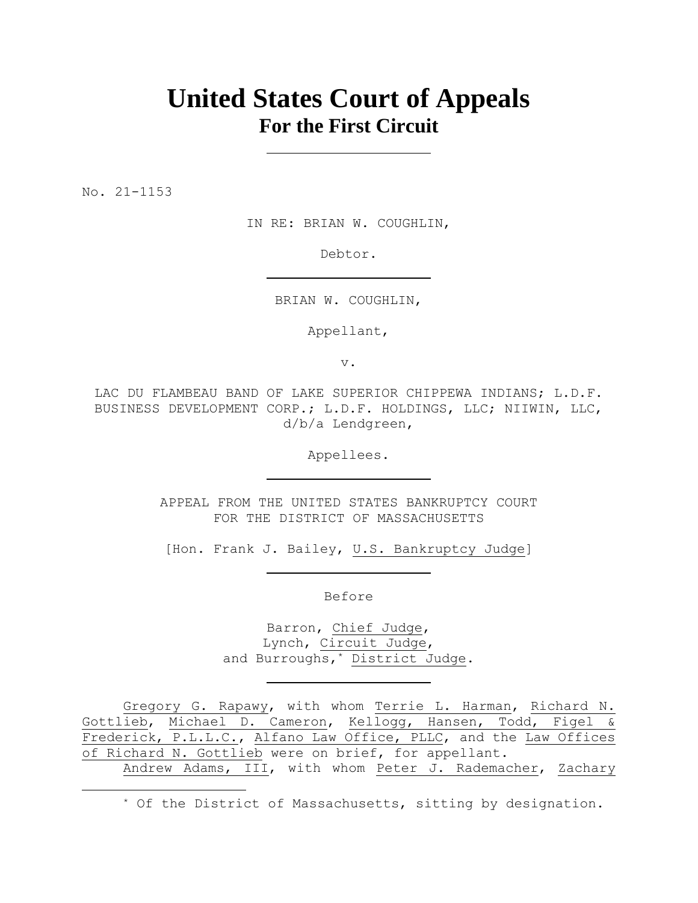# **United States Court of Appeals For the First Circuit**

No. 21-1153

IN RE: BRIAN W. COUGHLIN,

Debtor.

BRIAN W. COUGHLIN,

Appellant,

v.

LAC DU FLAMBEAU BAND OF LAKE SUPERIOR CHIPPEWA INDIANS; L.D.F. BUSINESS DEVELOPMENT CORP.; L.D.F. HOLDINGS, LLC; NIIWIN, LLC, d/b/a Lendgreen,

Appellees.

APPEAL FROM THE UNITED STATES BANKRUPTCY COURT FOR THE DISTRICT OF MASSACHUSETTS

[Hon. Frank J. Bailey, U.S. Bankruptcy Judge]

Before

Barron, Chief Judge, Lynch, Circuit Judge, and Burroughs,\* District Judge.

Gregory G. Rapawy, with whom Terrie L. Harman, Richard N. Gottlieb, Michael D. Cameron, Kellogg, Hansen, Todd, Figel & Frederick, P.L.L.C., Alfano Law Office, PLLC, and the Law Offices of Richard N. Gottlieb were on brief, for appellant. Andrew Adams, III, with whom Peter J. Rademacher, Zachary

\* Of the District of Massachusetts, sitting by designation.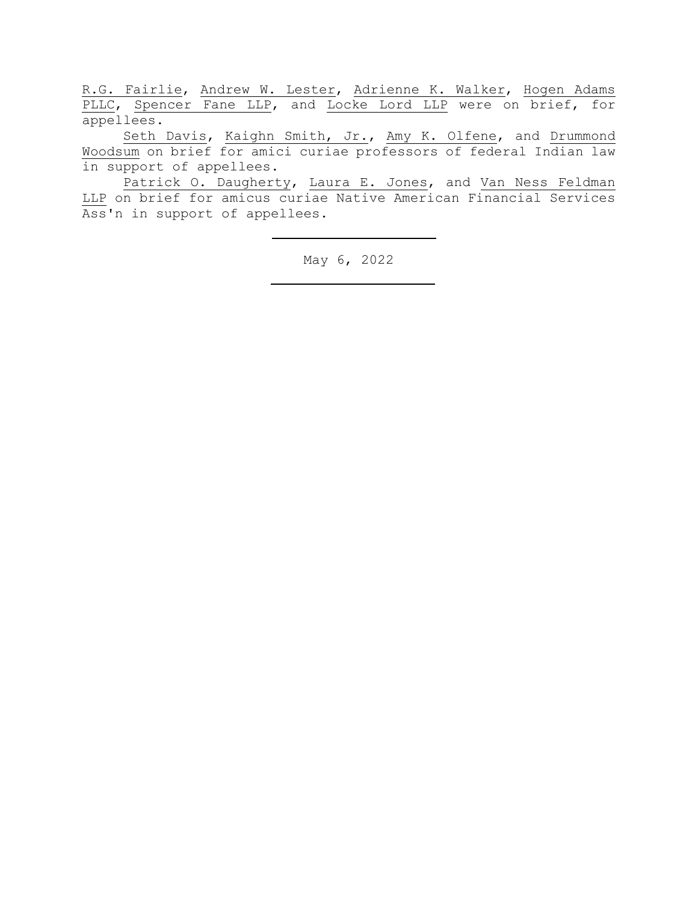R.G. Fairlie, Andrew W. Lester, Adrienne K. Walker, Hogen Adams PLLC, Spencer Fane LLP, and Locke Lord LLP were on brief, for appellees.

Seth Davis, Kaighn Smith, Jr., Amy K. Olfene, and Drummond Woodsum on brief for amici curiae professors of federal Indian law in support of appellees.

Patrick O. Daugherty, Laura E. Jones, and Van Ness Feldman LLP on brief for amicus curiae Native American Financial Services Ass'n in support of appellees.

May 6, 2022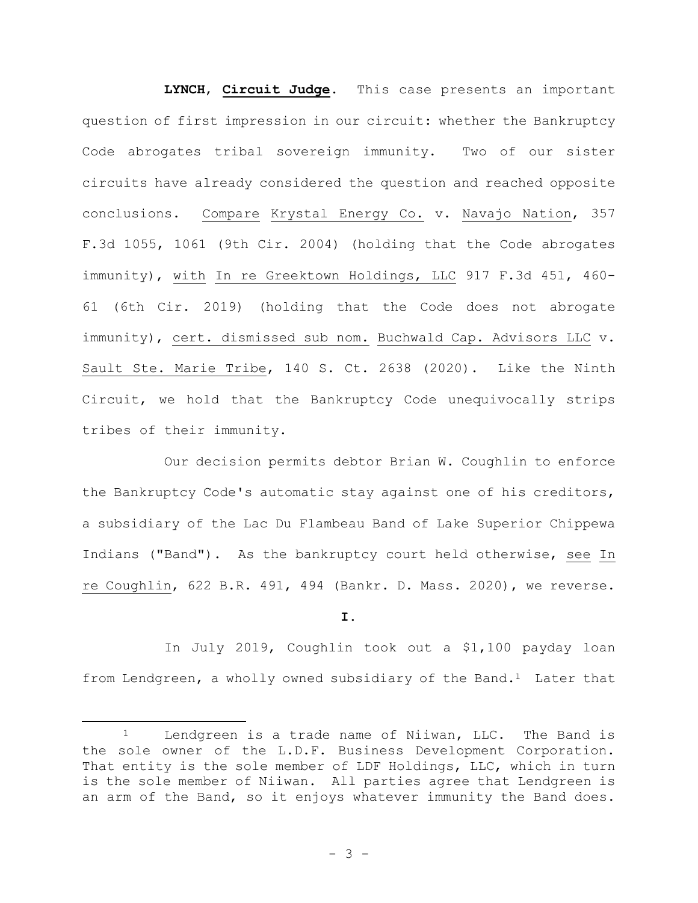**LYNCH**, **Circuit Judge**. This case presents an important question of first impression in our circuit: whether the Bankruptcy Code abrogates tribal sovereign immunity. Two of our sister circuits have already considered the question and reached opposite conclusions. Compare Krystal Energy Co. v. Navajo Nation, 357 F.3d 1055, 1061 (9th Cir. 2004) (holding that the Code abrogates immunity), with In re Greektown Holdings, LLC 917 F.3d 451, 460- 61 (6th Cir. 2019) (holding that the Code does not abrogate immunity), cert. dismissed sub nom. Buchwald Cap. Advisors LLC v. Sault Ste. Marie Tribe, 140 S. Ct. 2638 (2020). Like the Ninth Circuit, we hold that the Bankruptcy Code unequivocally strips tribes of their immunity.

Our decision permits debtor Brian W. Coughlin to enforce the Bankruptcy Code's automatic stay against one of his creditors, a subsidiary of the Lac Du Flambeau Band of Lake Superior Chippewa Indians ("Band"). As the bankruptcy court held otherwise, see In re Coughlin, 622 B.R. 491, 494 (Bankr. D. Mass. 2020), we reverse.

**I.**

In July 2019, Coughlin took out a \$1,100 payday loan from Lendgreen, a wholly owned subsidiary of the Band.<sup>1</sup> Later that

<sup>&</sup>lt;sup>1</sup> Lendgreen is a trade name of Niiwan, LLC. The Band is the sole owner of the L.D.F. Business Development Corporation. That entity is the sole member of LDF Holdings, LLC, which in turn is the sole member of Niiwan. All parties agree that Lendgreen is an arm of the Band, so it enjoys whatever immunity the Band does.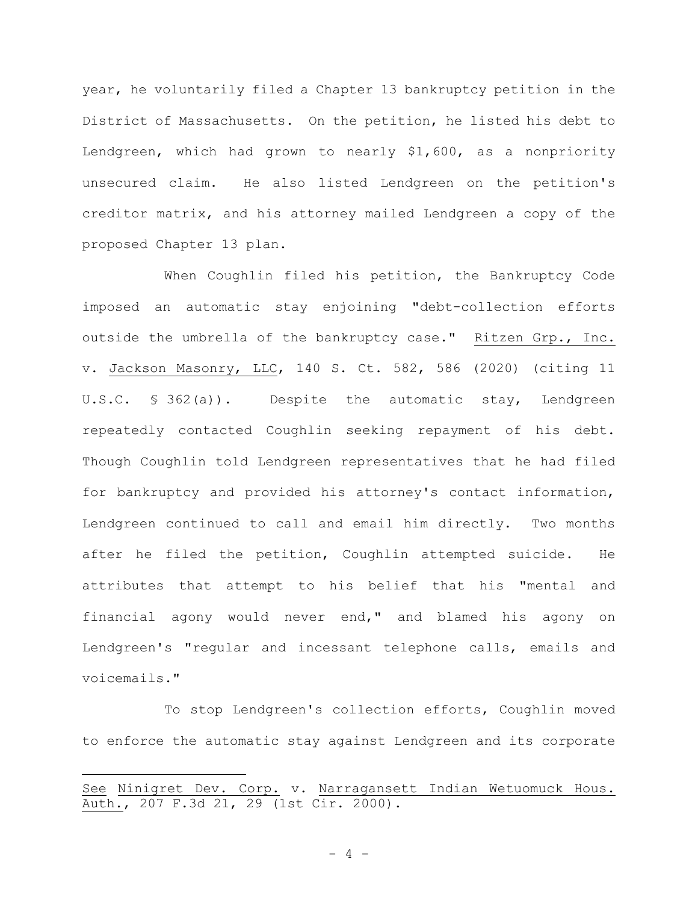year, he voluntarily filed a Chapter 13 bankruptcy petition in the District of Massachusetts. On the petition, he listed his debt to Lendgreen, which had grown to nearly \$1,600, as a nonpriority unsecured claim. He also listed Lendgreen on the petition's creditor matrix, and his attorney mailed Lendgreen a copy of the proposed Chapter 13 plan.

When Coughlin filed his petition, the Bankruptcy Code imposed an automatic stay enjoining "debt-collection efforts outside the umbrella of the bankruptcy case." Ritzen Grp., Inc. v. Jackson Masonry, LLC, 140 S. Ct. 582, 586 (2020) (citing 11 U.S.C. § 362(a)). Despite the automatic stay, Lendgreen repeatedly contacted Coughlin seeking repayment of his debt. Though Coughlin told Lendgreen representatives that he had filed for bankruptcy and provided his attorney's contact information, Lendgreen continued to call and email him directly. Two months after he filed the petition, Coughlin attempted suicide. He attributes that attempt to his belief that his "mental and financial agony would never end," and blamed his agony on Lendgreen's "regular and incessant telephone calls, emails and voicemails."

To stop Lendgreen's collection efforts, Coughlin moved to enforce the automatic stay against Lendgreen and its corporate

See Ninigret Dev. Corp. v. Narragansett Indian Wetuomuck Hous. Auth., 207 F.3d 21, 29 (1st Cir. 2000).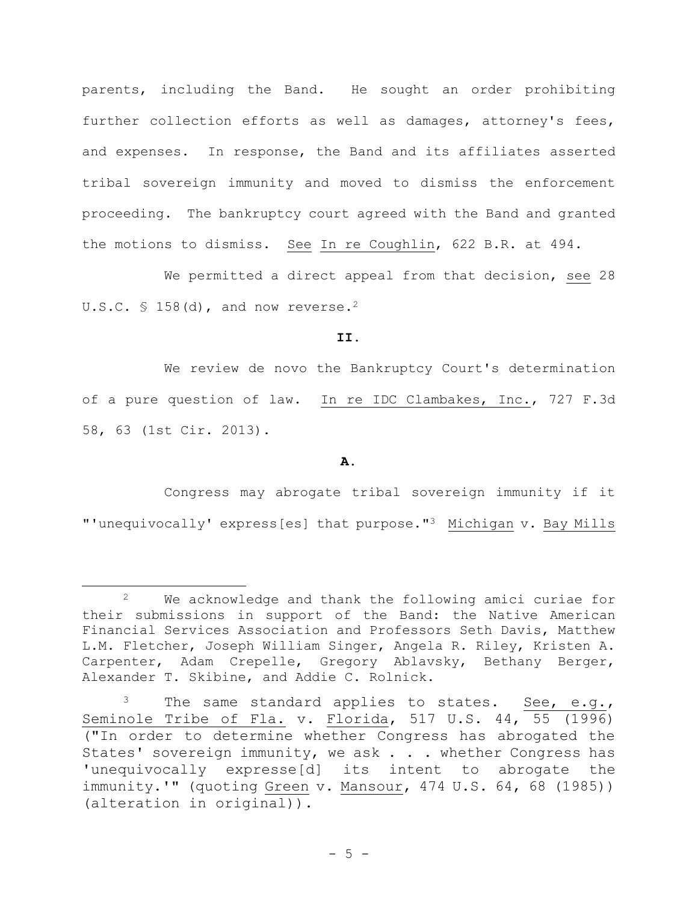parents, including the Band. He sought an order prohibiting further collection efforts as well as damages, attorney's fees, and expenses. In response, the Band and its affiliates asserted tribal sovereign immunity and moved to dismiss the enforcement proceeding. The bankruptcy court agreed with the Band and granted the motions to dismiss. See In re Coughlin, 622 B.R. at 494.

We permitted a direct appeal from that decision, see 28 U.S.C.  $\frac{158}{d}$ , and now reverse.<sup>2</sup>

**II.**

We review de novo the Bankruptcy Court's determination of a pure question of law. In re IDC Clambakes, Inc., 727 F.3d 58, 63 (1st Cir. 2013).

**A.**

Congress may abrogate tribal sovereign immunity if it "'unequivocally' express[es] that purpose."3 Michigan v. Bay Mills

<sup>2</sup> We acknowledge and thank the following amici curiae for their submissions in support of the Band: the Native American Financial Services Association and Professors Seth Davis, Matthew L.M. Fletcher, Joseph William Singer, Angela R. Riley, Kristen A. Carpenter, Adam Crepelle, Gregory Ablavsky, Bethany Berger, Alexander T. Skibine, and Addie C. Rolnick.

 $3$  The same standard applies to states. See, e.g., Seminole Tribe of Fla. v. Florida, 517 U.S. 44, 55 (1996) ("In order to determine whether Congress has abrogated the States' sovereign immunity, we ask . . . whether Congress has 'unequivocally expresse[d] its intent to abrogate the immunity.'" (quoting Green v. Mansour, 474 U.S. 64, 68 (1985)) (alteration in original)).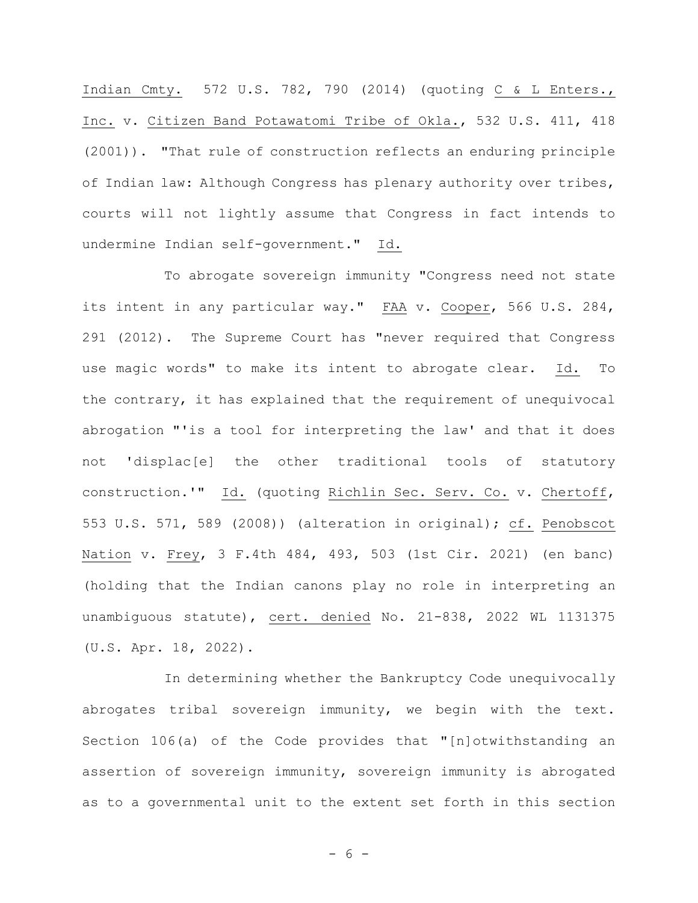Indian Cmty. 572 U.S. 782, 790 (2014) (quoting C & L Enters., Inc. v. Citizen Band Potawatomi Tribe of Okla., 532 U.S. 411, 418 (2001)). "That rule of construction reflects an enduring principle of Indian law: Although Congress has plenary authority over tribes, courts will not lightly assume that Congress in fact intends to undermine Indian self-government." Id.

To abrogate sovereign immunity "Congress need not state its intent in any particular way." FAA v. Cooper, 566 U.S. 284, 291 (2012). The Supreme Court has "never required that Congress use magic words" to make its intent to abrogate clear. Id. To the contrary, it has explained that the requirement of unequivocal abrogation "'is a tool for interpreting the law' and that it does not 'displac[e] the other traditional tools of statutory construction.'" Id. (quoting Richlin Sec. Serv. Co. v. Chertoff, 553 U.S. 571, 589 (2008)) (alteration in original); cf. Penobscot Nation v. Frey, 3 F.4th 484, 493, 503 (1st Cir. 2021) (en banc) (holding that the Indian canons play no role in interpreting an unambiguous statute), cert. denied No. 21-838, 2022 WL 1131375 (U.S. Apr. 18, 2022).

In determining whether the Bankruptcy Code unequivocally abrogates tribal sovereign immunity, we begin with the text. Section 106(a) of the Code provides that "[n]otwithstanding an assertion of sovereign immunity, sovereign immunity is abrogated as to a governmental unit to the extent set forth in this section

- 6 -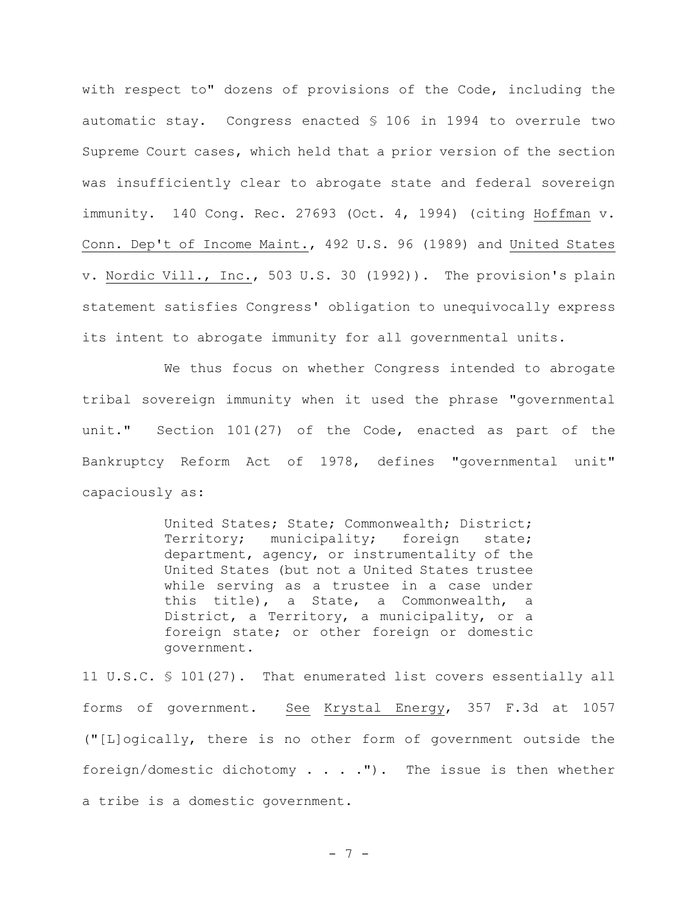with respect to" dozens of provisions of the Code, including the automatic stay. Congress enacted § 106 in 1994 to overrule two Supreme Court cases, which held that a prior version of the section was insufficiently clear to abrogate state and federal sovereign immunity. 140 Cong. Rec. 27693 (Oct. 4, 1994) (citing Hoffman v. Conn. Dep't of Income Maint., 492 U.S. 96 (1989) and United States v. Nordic Vill., Inc., 503 U.S. 30 (1992)). The provision's plain statement satisfies Congress' obligation to unequivocally express its intent to abrogate immunity for all governmental units.

We thus focus on whether Congress intended to abrogate tribal sovereign immunity when it used the phrase "governmental unit." Section 101(27) of the Code, enacted as part of the Bankruptcy Reform Act of 1978, defines "governmental unit" capaciously as:

> United States; State; Commonwealth; District; Territory; municipality; foreign state; department, agency, or instrumentality of the United States (but not a United States trustee while serving as a trustee in a case under this title), a State, a Commonwealth, a District, a Territory, a municipality, or a foreign state; or other foreign or domestic government.

11 U.S.C. § 101(27). That enumerated list covers essentially all forms of government. See Krystal Energy, 357 F.3d at 1057 ("[L]ogically, there is no other form of government outside the foreign/domestic dichotomy . . . ."). The issue is then whether a tribe is a domestic government.

- 7 -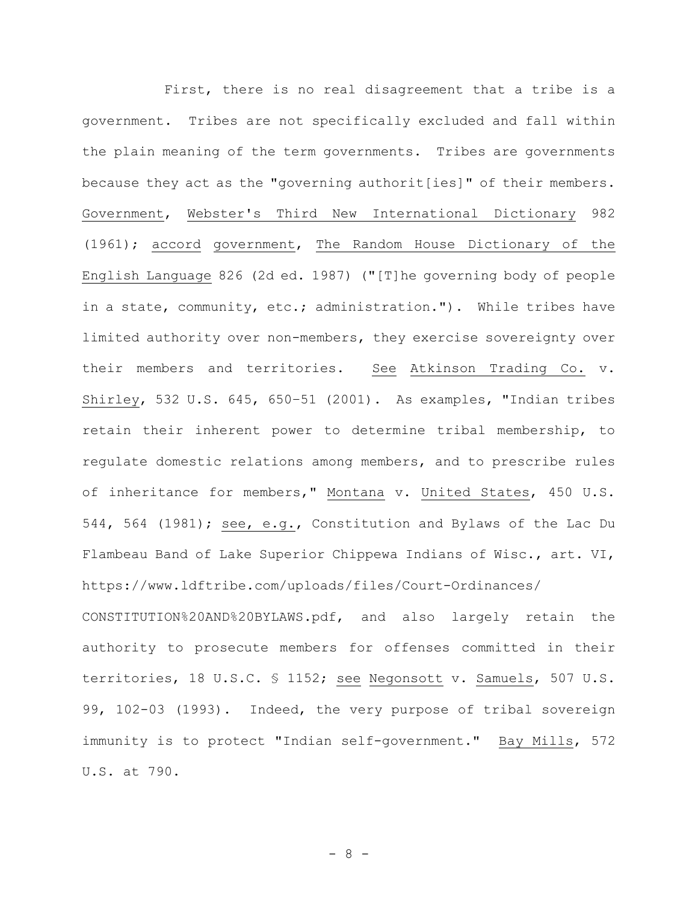First, there is no real disagreement that a tribe is a government. Tribes are not specifically excluded and fall within the plain meaning of the term governments. Tribes are governments because they act as the "governing authorit[ies]" of their members. Government, Webster's Third New International Dictionary 982 (1961); accord government, The Random House Dictionary of the English Language 826 (2d ed. 1987) ("[T]he governing body of people in a state, community, etc.; administration."). While tribes have limited authority over non-members, they exercise sovereignty over their members and territories. See Atkinson Trading Co. v. Shirley, 532 U.S. 645, 650–51 (2001). As examples, "Indian tribes retain their inherent power to determine tribal membership, to regulate domestic relations among members, and to prescribe rules of inheritance for members," Montana v. United States, 450 U.S. 544, 564 (1981); see, e.g., Constitution and Bylaws of the Lac Du Flambeau Band of Lake Superior Chippewa Indians of Wisc., art. VI, https://www.ldftribe.com/uploads/files/Court-Ordinances/ CONSTITUTION%20AND%20BYLAWS.pdf, and also largely retain the authority to prosecute members for offenses committed in their territories, 18 U.S.C. § 1152; see Negonsott v. Samuels, 507 U.S. 99, 102-03 (1993). Indeed, the very purpose of tribal sovereign immunity is to protect "Indian self-government." Bay Mills, 572 U.S. at 790.

- 8 -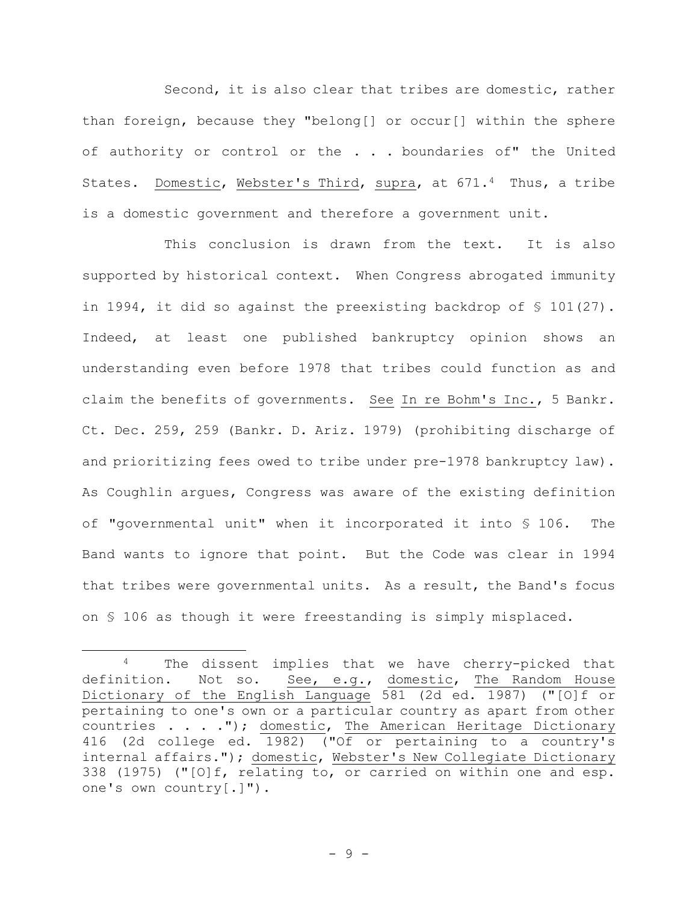Second, it is also clear that tribes are domestic, rather than foreign, because they "belong[] or occur[] within the sphere of authority or control or the . . . boundaries of" the United States. Domestic, Webster's Third, supra, at 671.4 Thus, a tribe is a domestic government and therefore a government unit.

This conclusion is drawn from the text. It is also supported by historical context. When Congress abrogated immunity in 1994, it did so against the preexisting backdrop of § 101(27). Indeed, at least one published bankruptcy opinion shows an understanding even before 1978 that tribes could function as and claim the benefits of governments. See In re Bohm's Inc., 5 Bankr. Ct. Dec. 259, 259 (Bankr. D. Ariz. 1979) (prohibiting discharge of and prioritizing fees owed to tribe under pre-1978 bankruptcy law). As Coughlin argues, Congress was aware of the existing definition of "governmental unit" when it incorporated it into § 106. The Band wants to ignore that point. But the Code was clear in 1994 that tribes were governmental units. As a result, the Band's focus on § 106 as though it were freestanding is simply misplaced.

<sup>4</sup> The dissent implies that we have cherry-picked that definition. Not so. See, e.g., domestic, The Random House Dictionary of the English Language 581 (2d ed. 1987) ("[O]f or pertaining to one's own or a particular country as apart from other countries . . . ."); domestic, The American Heritage Dictionary 416 (2d college ed. 1982) ("Of or pertaining to a country's internal affairs."); domestic, Webster's New Collegiate Dictionary 338 (1975) ("[O]f, relating to, or carried on within one and esp. one's own country[.]").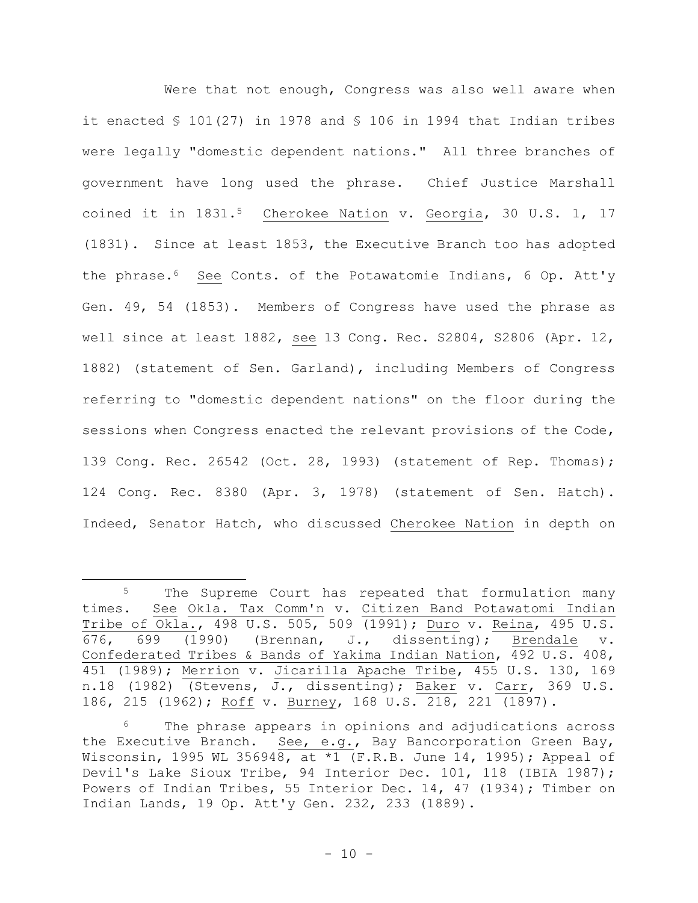Were that not enough, Congress was also well aware when it enacted § 101(27) in 1978 and § 106 in 1994 that Indian tribes were legally "domestic dependent nations." All three branches of government have long used the phrase. Chief Justice Marshall coined it in 1831.5 Cherokee Nation v. Georgia, 30 U.S. 1, 17 (1831). Since at least 1853, the Executive Branch too has adopted the phrase.6 See Conts. of the Potawatomie Indians, 6 Op. Att'y Gen. 49, 54 (1853). Members of Congress have used the phrase as well since at least 1882, see 13 Cong. Rec. S2804, S2806 (Apr. 12, 1882) (statement of Sen. Garland), including Members of Congress referring to "domestic dependent nations" on the floor during the sessions when Congress enacted the relevant provisions of the Code, 139 Cong. Rec. 26542 (Oct. 28, 1993) (statement of Rep. Thomas); 124 Cong. Rec. 8380 (Apr. 3, 1978) (statement of Sen. Hatch). Indeed, Senator Hatch, who discussed Cherokee Nation in depth on

<sup>&</sup>lt;sup>5</sup> The Supreme Court has repeated that formulation many times. See Okla. Tax Comm'n v. Citizen Band Potawatomi Indian Tribe of Okla., 498 U.S. 505, 509 (1991); Duro v. Reina, 495 U.S. 676, 699 (1990) (Brennan, J., dissenting); Brendale v. Confederated Tribes & Bands of Yakima Indian Nation, 492 U.S. 408, 451 (1989); Merrion v. Jicarilla Apache Tribe, 455 U.S. 130, 169 n.18 (1982) (Stevens, J., dissenting); Baker v. Carr, 369 U.S. 186, 215 (1962); Roff v. Burney, 168 U.S. 218, 221 (1897).

<sup>&</sup>lt;sup>6</sup> The phrase appears in opinions and adjudications across the Executive Branch. See, e.g., Bay Bancorporation Green Bay, Wisconsin, 1995 WL 356948, at \*1 (F.R.B. June 14, 1995); Appeal of Devil's Lake Sioux Tribe, 94 Interior Dec. 101, 118 (IBIA 1987); Powers of Indian Tribes, 55 Interior Dec. 14, 47 (1934); Timber on Indian Lands, 19 Op. Att'y Gen. 232, 233 (1889).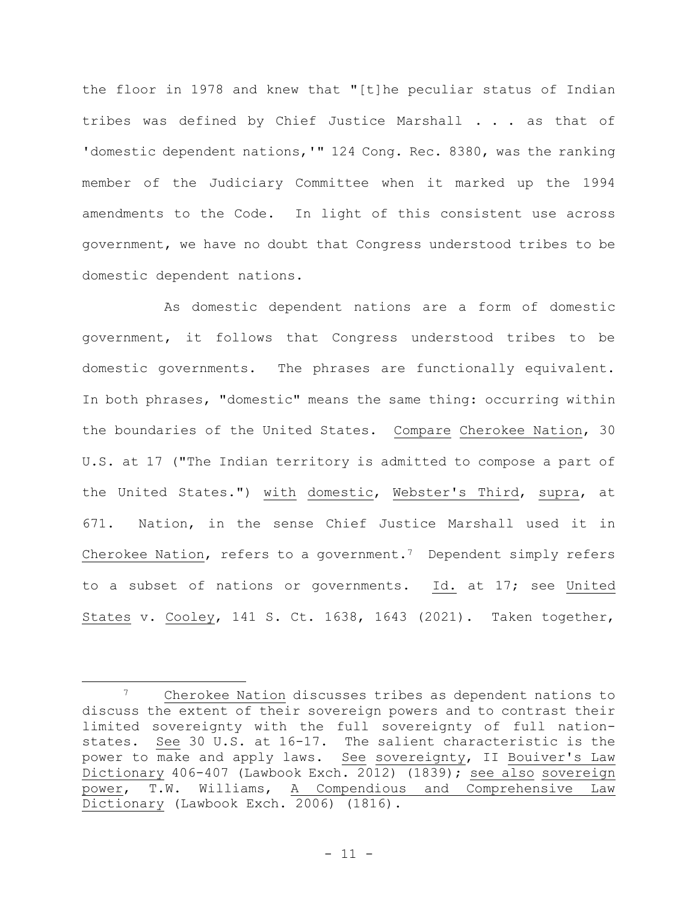the floor in 1978 and knew that "[t]he peculiar status of Indian tribes was defined by Chief Justice Marshall . . . as that of 'domestic dependent nations, '" 124 Cong. Rec. 8380, was the ranking member of the Judiciary Committee when it marked up the 1994 amendments to the Code. In light of this consistent use across government, we have no doubt that Congress understood tribes to be domestic dependent nations.

As domestic dependent nations are a form of domestic government, it follows that Congress understood tribes to be domestic governments. The phrases are functionally equivalent. In both phrases, "domestic" means the same thing: occurring within the boundaries of the United States. Compare Cherokee Nation, 30 U.S. at 17 ("The Indian territory is admitted to compose a part of the United States.") with domestic, Webster's Third, supra, at 671. Nation, in the sense Chief Justice Marshall used it in Cherokee Nation, refers to a government.<sup>7</sup> Dependent simply refers to a subset of nations or governments. Id. at 17; see United States v. Cooley, 141 S. Ct. 1638, 1643 (2021). Taken together,

<sup>7</sup> Cherokee Nation discusses tribes as dependent nations to discuss the extent of their sovereign powers and to contrast their limited sovereignty with the full sovereignty of full nationstates. See 30 U.S. at 16-17. The salient characteristic is the power to make and apply laws. See sovereignty, II Bouiver's Law Dictionary 406-407 (Lawbook Exch. 2012) (1839); see also sovereign power, T.W. Williams, A Compendious and Comprehensive Law Dictionary (Lawbook Exch. 2006) (1816).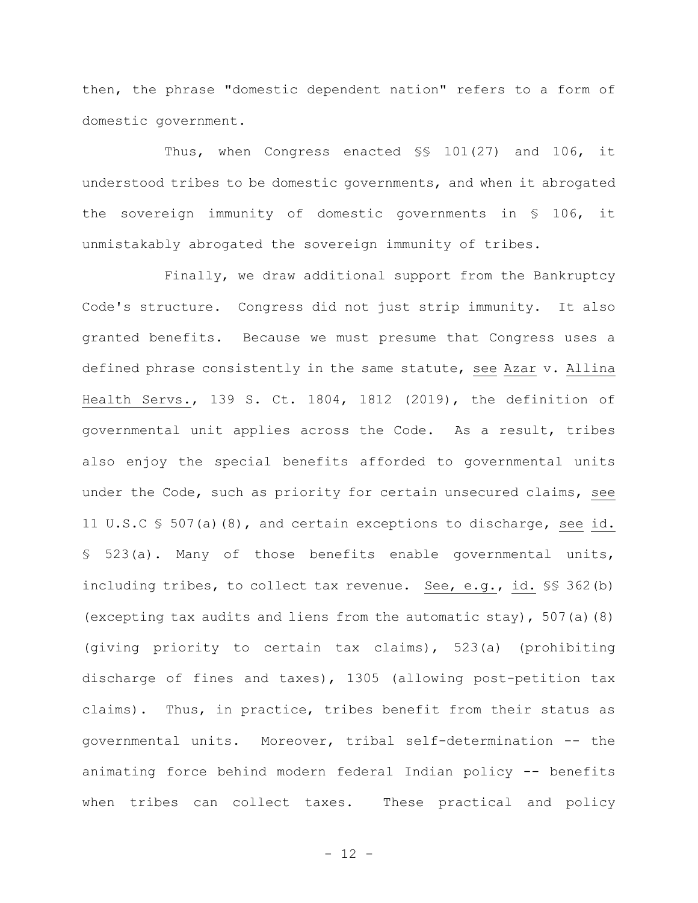then, the phrase "domestic dependent nation" refers to a form of domestic government.

Thus, when Congress enacted §§ 101(27) and 106, it understood tribes to be domestic governments, and when it abrogated the sovereign immunity of domestic governments in § 106, it unmistakably abrogated the sovereign immunity of tribes.

Finally, we draw additional support from the Bankruptcy Code's structure. Congress did not just strip immunity. It also granted benefits. Because we must presume that Congress uses a defined phrase consistently in the same statute, see Azar v. Allina Health Servs., 139 S. Ct. 1804, 1812 (2019), the definition of governmental unit applies across the Code. As a result, tribes also enjoy the special benefits afforded to governmental units under the Code, such as priority for certain unsecured claims, see 11 U.S.C § 507(a)(8), and certain exceptions to discharge, see id. § 523(a). Many of those benefits enable governmental units, including tribes, to collect tax revenue. See, e.g., id. §§ 362(b) (excepting tax audits and liens from the automatic stay),  $507(a)(8)$ (giving priority to certain tax claims), 523(a) (prohibiting discharge of fines and taxes), 1305 (allowing post-petition tax claims). Thus, in practice, tribes benefit from their status as governmental units. Moreover, tribal self-determination -- the animating force behind modern federal Indian policy -- benefits when tribes can collect taxes. These practical and policy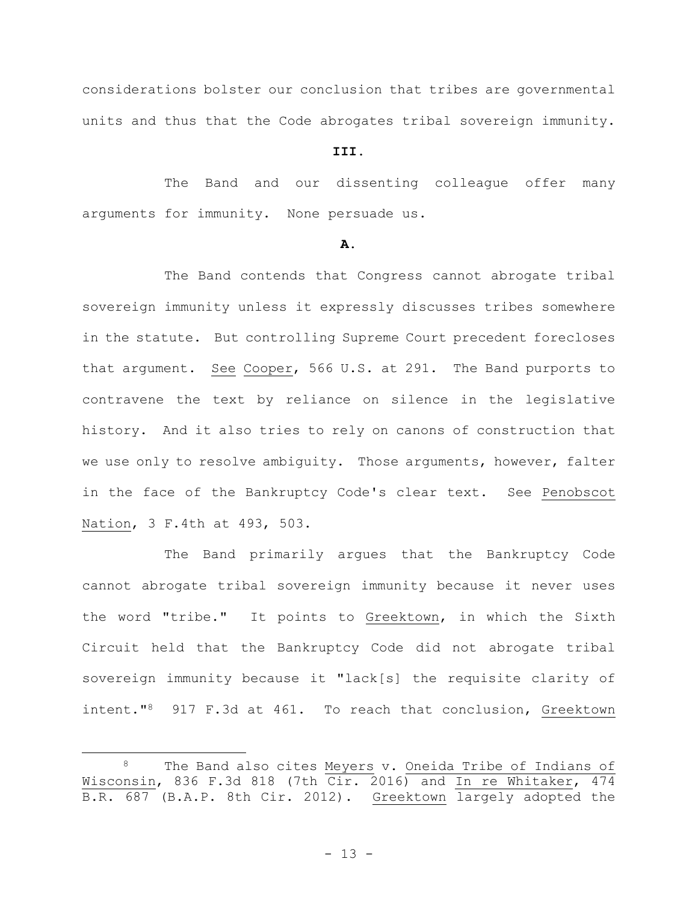considerations bolster our conclusion that tribes are governmental units and thus that the Code abrogates tribal sovereign immunity.

# **III.**

The Band and our dissenting colleague offer many arguments for immunity. None persuade us.

### **A.**

The Band contends that Congress cannot abrogate tribal sovereign immunity unless it expressly discusses tribes somewhere in the statute. But controlling Supreme Court precedent forecloses that argument. See Cooper, 566 U.S. at 291. The Band purports to contravene the text by reliance on silence in the legislative history. And it also tries to rely on canons of construction that we use only to resolve ambiguity. Those arguments, however, falter in the face of the Bankruptcy Code's clear text. See Penobscot Nation, 3 F.4th at 493, 503.

The Band primarily argues that the Bankruptcy Code cannot abrogate tribal sovereign immunity because it never uses the word "tribe." It points to Greektown, in which the Sixth Circuit held that the Bankruptcy Code did not abrogate tribal sovereign immunity because it "lack[s] the requisite clarity of intent."8 917 F.3d at 461. To reach that conclusion, Greektown

The Band also cites Meyers v. Oneida Tribe of Indians of Wisconsin, 836 F.3d 818 (7th Cir. 2016) and In re Whitaker, 474 B.R. 687 (B.A.P. 8th Cir. 2012). Greektown largely adopted the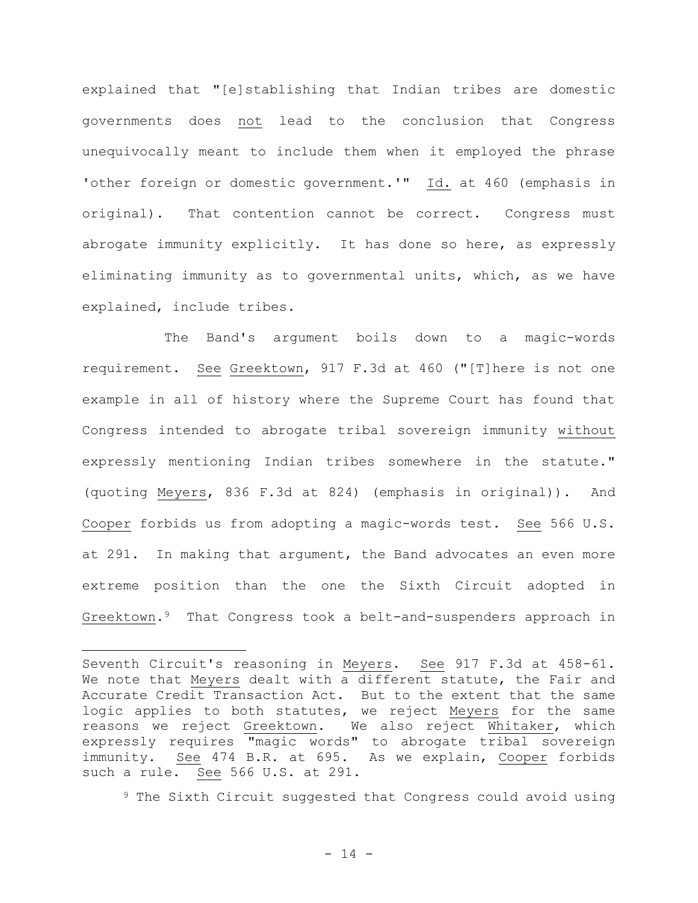explained that "[e]stablishing that Indian tribes are domestic governments does not lead to the conclusion that Congress unequivocally meant to include them when it employed the phrase 'other foreign or domestic government.'" Id. at 460 (emphasis in original). That contention cannot be correct. Congress must abrogate immunity explicitly. It has done so here, as expressly eliminating immunity as to governmental units, which, as we have explained, include tribes.

The Band's argument boils down to a magic-words requirement. See Greektown, 917 F.3d at 460 ("[T]here is not one example in all of history where the Supreme Court has found that Congress intended to abrogate tribal sovereign immunity without expressly mentioning Indian tribes somewhere in the statute." (quoting Meyers, 836 F.3d at 824) (emphasis in original)). And Cooper forbids us from adopting a magic-words test. See 566 U.S. at 291. In making that argument, the Band advocates an even more extreme position than the one the Sixth Circuit adopted in Greektown.9 That Congress took a belt-and-suspenders approach in

<sup>9</sup> The Sixth Circuit suggested that Congress could avoid using

Seventh Circuit's reasoning in Meyers. See 917 F.3d at 458-61. We note that Meyers dealt with a different statute, the Fair and Accurate Credit Transaction Act. But to the extent that the same logic applies to both statutes, we reject Meyers for the same reasons we reject Greektown. We also reject Whitaker, which expressly requires "magic words" to abrogate tribal sovereign immunity. See 474 B.R. at 695. As we explain, Cooper forbids such a rule. See 566 U.S. at 291.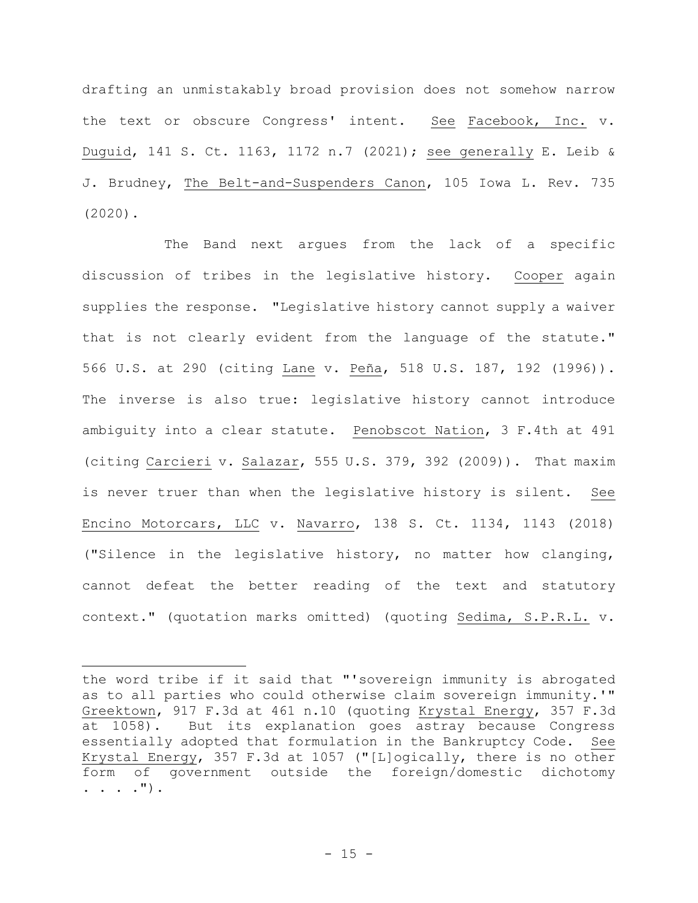drafting an unmistakably broad provision does not somehow narrow the text or obscure Congress' intent. See Facebook, Inc. v. Duguid, 141 S. Ct. 1163, 1172 n.7 (2021); see generally E. Leib & J. Brudney, The Belt-and-Suspenders Canon, 105 Iowa L. Rev. 735 (2020).

The Band next argues from the lack of a specific discussion of tribes in the legislative history. Cooper again supplies the response. "Legislative history cannot supply a waiver that is not clearly evident from the language of the statute." 566 U.S. at 290 (citing Lane v. Peña, 518 U.S. 187, 192 (1996)). The inverse is also true: legislative history cannot introduce ambiguity into a clear statute. Penobscot Nation, 3 F.4th at 491 (citing Carcieri v. Salazar, 555 U.S. 379, 392 (2009)). That maxim is never truer than when the legislative history is silent. See Encino Motorcars, LLC v. Navarro, 138 S. Ct. 1134, 1143 (2018) ("Silence in the legislative history, no matter how clanging, cannot defeat the better reading of the text and statutory context." (quotation marks omitted) (quoting Sedima, S.P.R.L. v.

the word tribe if it said that "'sovereign immunity is abrogated as to all parties who could otherwise claim sovereign immunity.'" Greektown, 917 F.3d at 461 n.10 (quoting Krystal Energy, 357 F.3d at 1058). But its explanation goes astray because Congress essentially adopted that formulation in the Bankruptcy Code. See Krystal Energy, 357 F.3d at 1057 ("[L]ogically, there is no other form of government outside the foreign/domestic dichotomy . . . .").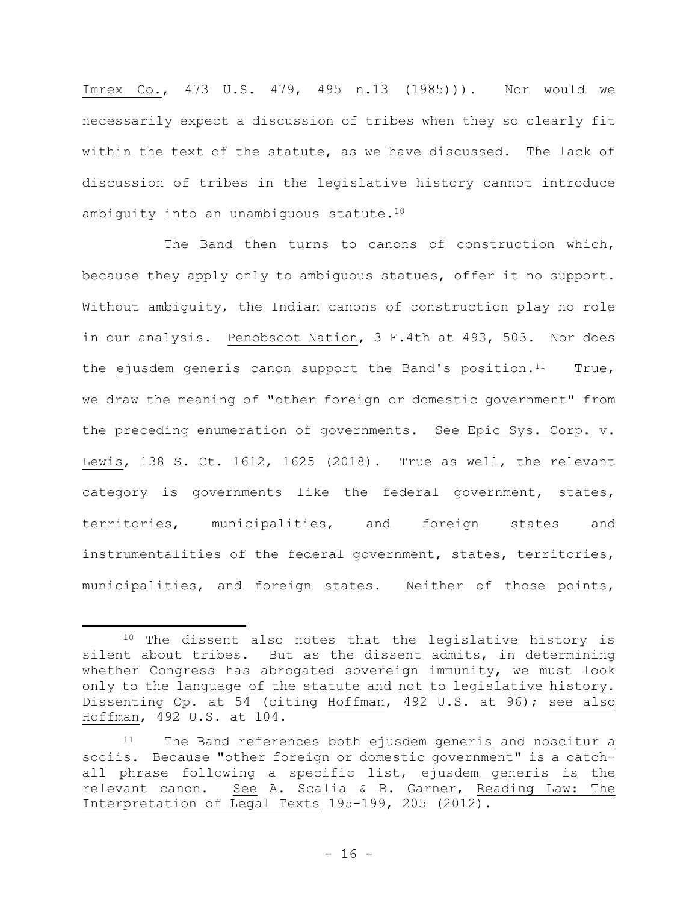Imrex Co., 473 U.S. 479, 495 n.13 (1985))). Nor would we necessarily expect a discussion of tribes when they so clearly fit within the text of the statute, as we have discussed. The lack of discussion of tribes in the legislative history cannot introduce ambiguity into an unambiguous statute.<sup>10</sup>

The Band then turns to canons of construction which, because they apply only to ambiguous statues, offer it no support. Without ambiguity, the Indian canons of construction play no role in our analysis. Penobscot Nation, 3 F.4th at 493, 503. Nor does the ejusdem generis canon support the Band's position.<sup>11</sup> True, we draw the meaning of "other foreign or domestic government" from the preceding enumeration of governments. See Epic Sys. Corp. v. Lewis, 138 S. Ct. 1612, 1625 (2018). True as well, the relevant category is governments like the federal government, states, territories, municipalities, and foreign states and instrumentalities of the federal government, states, territories, municipalities, and foreign states. Neither of those points,

<sup>&</sup>lt;sup>10</sup> The dissent also notes that the legislative history is silent about tribes. But as the dissent admits, in determining whether Congress has abrogated sovereign immunity, we must look only to the language of the statute and not to legislative history. Dissenting Op. at 54 (citing Hoffman, 492 U.S. at 96); see also Hoffman, 492 U.S. at 104.

<sup>11</sup> The Band references both ejusdem generis and noscitur a sociis. Because "other foreign or domestic government" is a catchall phrase following a specific list, ejusdem generis is the relevant canon. See A. Scalia & B. Garner, Reading Law: The Interpretation of Legal Texts 195-199, 205 (2012).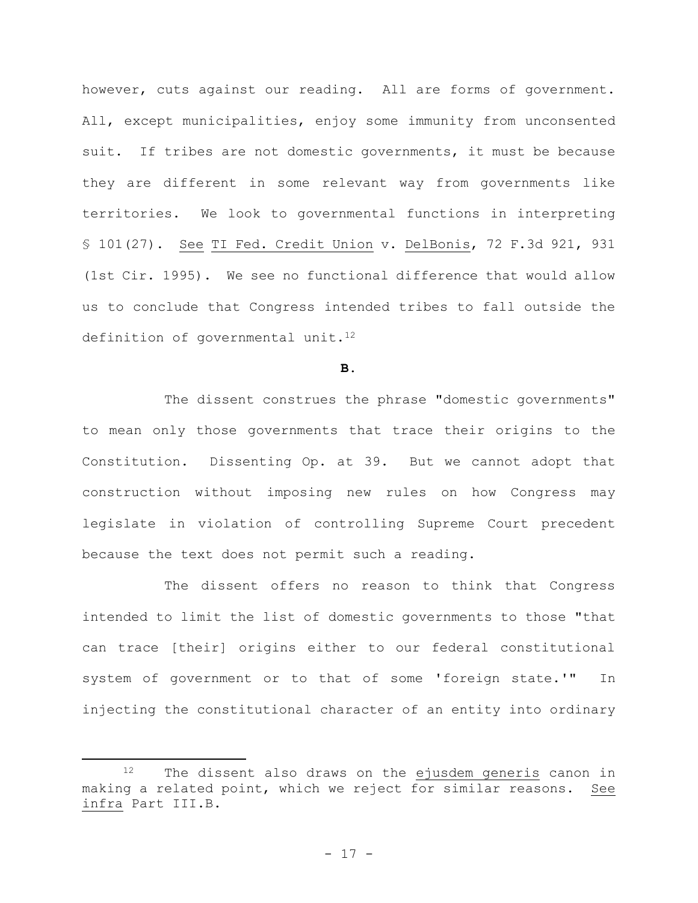however, cuts against our reading. All are forms of government. All, except municipalities, enjoy some immunity from unconsented suit. If tribes are not domestic governments, it must be because they are different in some relevant way from governments like territories. We look to governmental functions in interpreting § 101(27). See TI Fed. Credit Union v. DelBonis, 72 F.3d 921, 931 (1st Cir. 1995). We see no functional difference that would allow us to conclude that Congress intended tribes to fall outside the definition of governmental unit.<sup>12</sup>

**B.**

The dissent construes the phrase "domestic governments" to mean only those governments that trace their origins to the Constitution. Dissenting Op. at 39. But we cannot adopt that construction without imposing new rules on how Congress may legislate in violation of controlling Supreme Court precedent because the text does not permit such a reading.

The dissent offers no reason to think that Congress intended to limit the list of domestic governments to those "that can trace [their] origins either to our federal constitutional system of government or to that of some 'foreign state.'" In injecting the constitutional character of an entity into ordinary

<sup>12</sup> The dissent also draws on the ejusdem generis canon in making a related point, which we reject for similar reasons. See infra Part III.B.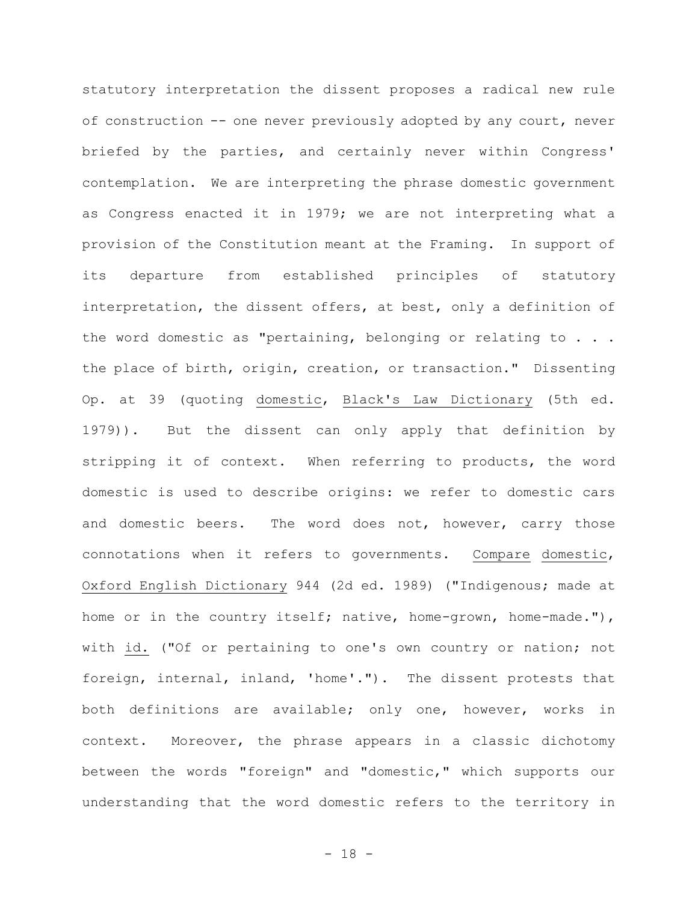statutory interpretation the dissent proposes a radical new rule of construction -- one never previously adopted by any court, never briefed by the parties, and certainly never within Congress' contemplation. We are interpreting the phrase domestic government as Congress enacted it in 1979; we are not interpreting what a provision of the Constitution meant at the Framing. In support of its departure from established principles of statutory interpretation, the dissent offers, at best, only a definition of the word domestic as "pertaining, belonging or relating to . . . the place of birth, origin, creation, or transaction." Dissenting Op. at 39 (quoting domestic, Black's Law Dictionary (5th ed. 1979)). But the dissent can only apply that definition by stripping it of context. When referring to products, the word domestic is used to describe origins: we refer to domestic cars and domestic beers. The word does not, however, carry those connotations when it refers to governments. Compare domestic, Oxford English Dictionary 944 (2d ed. 1989) ("Indigenous; made at home or in the country itself; native, home-grown, home-made."), with id. ("Of or pertaining to one's own country or nation; not foreign, internal, inland, 'home'."). The dissent protests that both definitions are available; only one, however, works in context. Moreover, the phrase appears in a classic dichotomy between the words "foreign" and "domestic," which supports our understanding that the word domestic refers to the territory in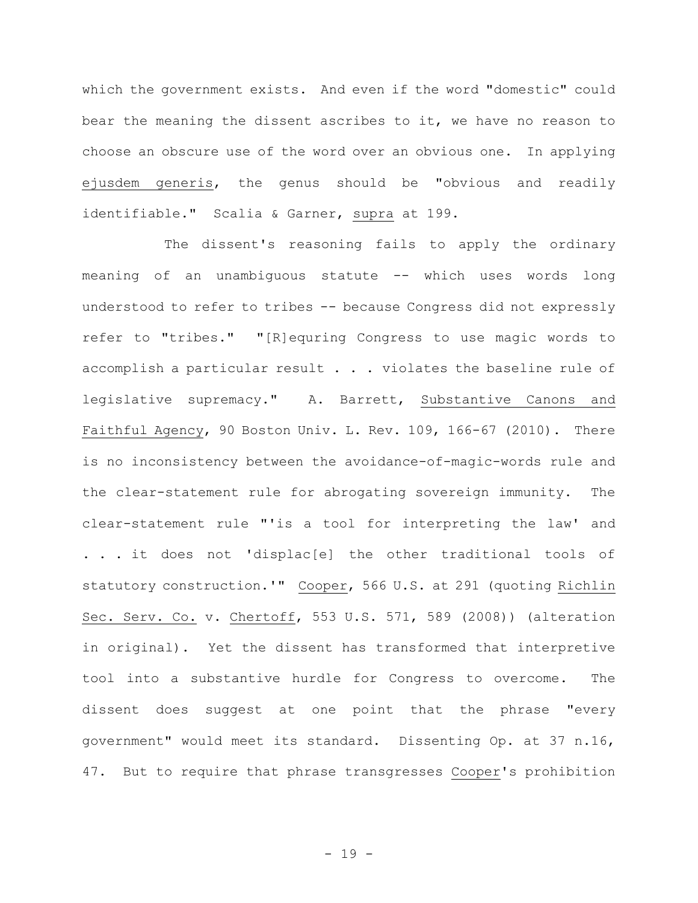which the government exists. And even if the word "domestic" could bear the meaning the dissent ascribes to it, we have no reason to choose an obscure use of the word over an obvious one. In applying ejusdem generis, the genus should be "obvious and readily identifiable." Scalia & Garner, supra at 199.

The dissent's reasoning fails to apply the ordinary meaning of an unambiguous statute -- which uses words long understood to refer to tribes -- because Congress did not expressly refer to "tribes." "[R]equring Congress to use magic words to accomplish a particular result . . . violates the baseline rule of legislative supremacy." A. Barrett, Substantive Canons and Faithful Agency, 90 Boston Univ. L. Rev. 109, 166-67 (2010). There is no inconsistency between the avoidance-of-magic-words rule and the clear-statement rule for abrogating sovereign immunity. The clear-statement rule "'is a tool for interpreting the law' and . . . it does not 'displac[e] the other traditional tools of statutory construction.'" Cooper, 566 U.S. at 291 (quoting Richlin Sec. Serv. Co. v. Chertoff, 553 U.S. 571, 589 (2008)) (alteration in original). Yet the dissent has transformed that interpretive tool into a substantive hurdle for Congress to overcome. The dissent does suggest at one point that the phrase "every government" would meet its standard. Dissenting Op. at 37 n.16, 47. But to require that phrase transgresses Cooper's prohibition

- 19 -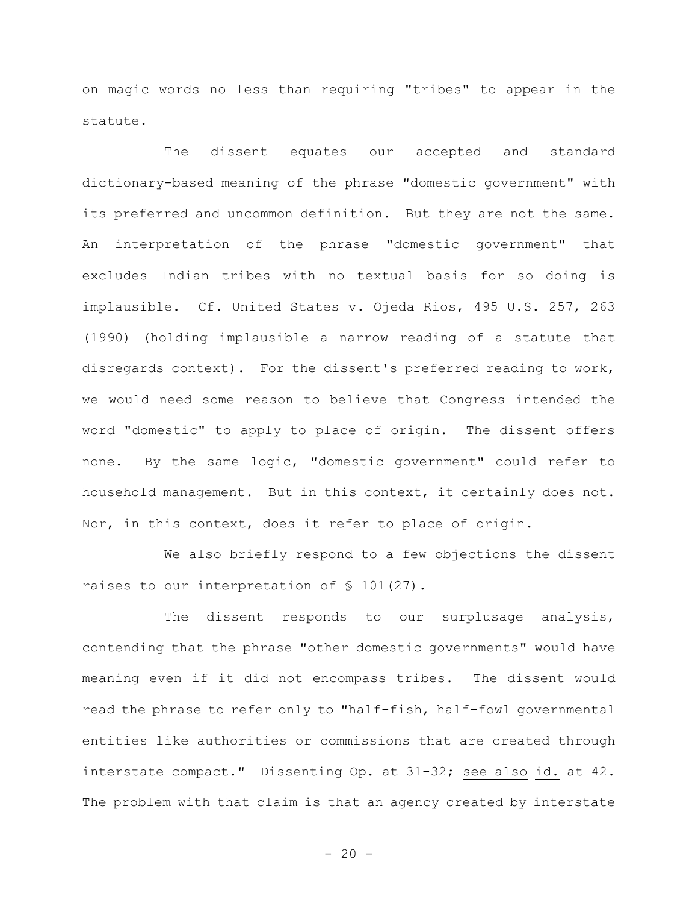on magic words no less than requiring "tribes" to appear in the statute.

The dissent equates our accepted and standard dictionary-based meaning of the phrase "domestic government" with its preferred and uncommon definition. But they are not the same. An interpretation of the phrase "domestic government" that excludes Indian tribes with no textual basis for so doing is implausible. Cf. United States v. Ojeda Rios, 495 U.S. 257, 263 (1990) (holding implausible a narrow reading of a statute that disregards context). For the dissent's preferred reading to work, we would need some reason to believe that Congress intended the word "domestic" to apply to place of origin. The dissent offers none. By the same logic, "domestic government" could refer to household management. But in this context, it certainly does not. Nor, in this context, does it refer to place of origin.

We also briefly respond to a few objections the dissent raises to our interpretation of § 101(27).

The dissent responds to our surplusage analysis, contending that the phrase "other domestic governments" would have meaning even if it did not encompass tribes. The dissent would read the phrase to refer only to "half-fish, half-fowl governmental entities like authorities or commissions that are created through interstate compact." Dissenting Op. at 31-32; see also id. at 42. The problem with that claim is that an agency created by interstate

 $- 20 -$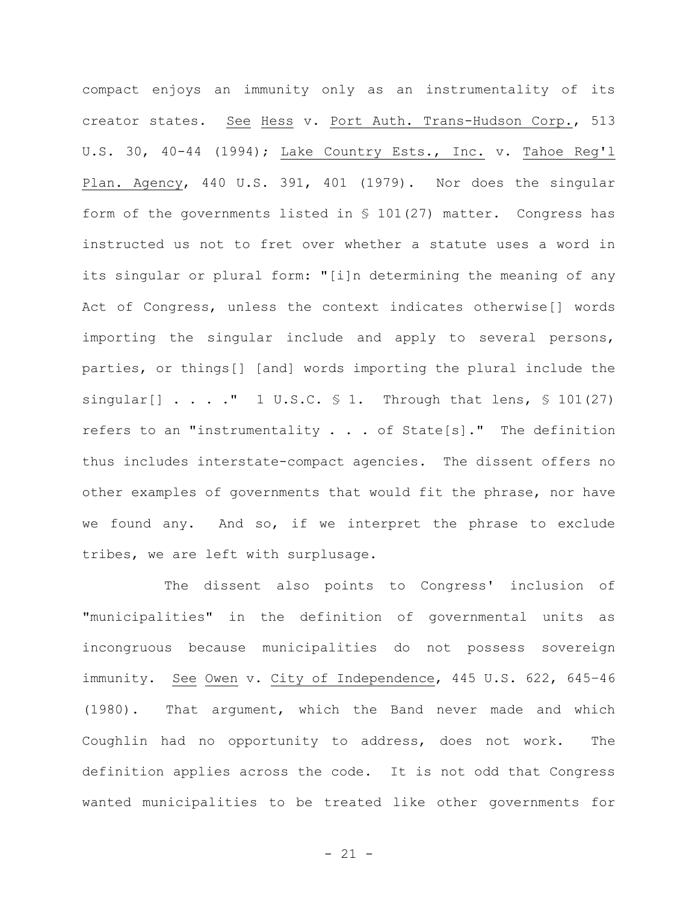compact enjoys an immunity only as an instrumentality of its creator states. See Hess v. Port Auth. Trans-Hudson Corp., 513 U.S. 30, 40-44 (1994); Lake Country Ests., Inc. v. Tahoe Reg'l Plan. Agency, 440 U.S. 391, 401 (1979). Nor does the singular form of the governments listed in § 101(27) matter. Congress has instructed us not to fret over whether a statute uses a word in its singular or plural form: "[i]n determining the meaning of any Act of Congress, unless the context indicates otherwise[] words importing the singular include and apply to several persons, parties, or things[] [and] words importing the plural include the singular[]  $\ldots$  ." 1 U.S.C. § 1. Through that lens, § 101(27) refers to an "instrumentality . . . of State[s]." The definition thus includes interstate-compact agencies. The dissent offers no other examples of governments that would fit the phrase, nor have we found any. And so, if we interpret the phrase to exclude tribes, we are left with surplusage.

The dissent also points to Congress' inclusion of "municipalities" in the definition of governmental units as incongruous because municipalities do not possess sovereign immunity. See Owen v. City of Independence, 445 U.S. 622, 645-46 (1980). That argument, which the Band never made and which Coughlin had no opportunity to address, does not work. The definition applies across the code. It is not odd that Congress wanted municipalities to be treated like other governments for

- 21 -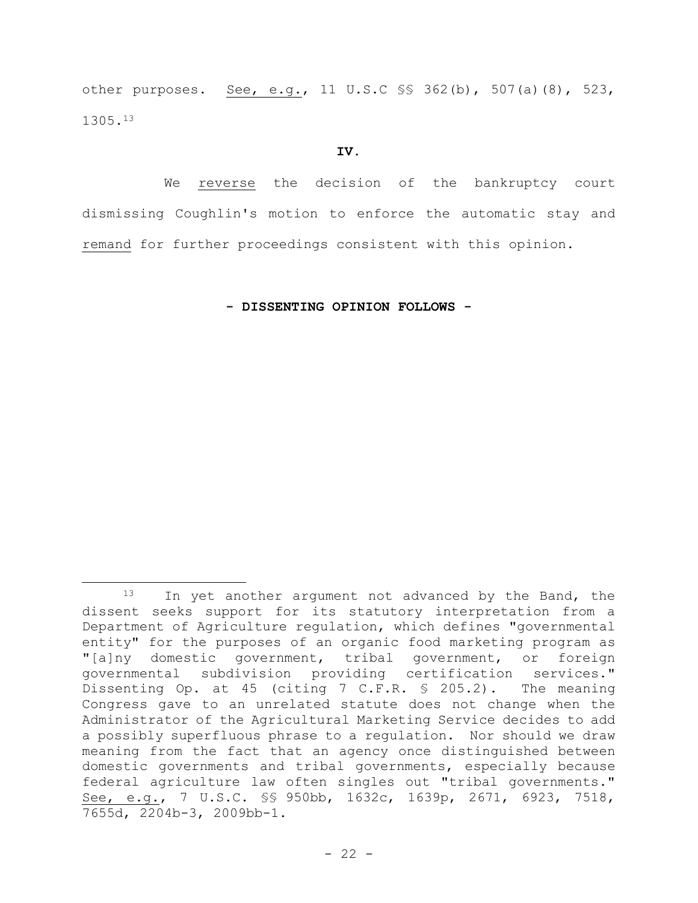other purposes. See, e.g., 11 U.S.C §§ 362(b), 507(a)(8), 523, 1305.<sup>13</sup>

### **IV.**

We reverse the decision of the bankruptcy court dismissing Coughlin**'**s motion to enforce the automatic stay and remand for further proceedings consistent with this opinion.

**- DISSENTING OPINION FOLLOWS -**

<sup>13</sup> In yet another argument not advanced by the Band, the dissent seeks support for its statutory interpretation from a Department of Agriculture regulation, which defines "governmental entity" for the purposes of an organic food marketing program as "[a]ny domestic government, tribal government, or foreign governmental subdivision providing certification services." Dissenting Op. at 45 (citing 7 C.F.R. § 205.2). The meaning Congress gave to an unrelated statute does not change when the Administrator of the Agricultural Marketing Service decides to add a possibly superfluous phrase to a regulation. Nor should we draw meaning from the fact that an agency once distinguished between domestic governments and tribal governments, especially because federal agriculture law often singles out "tribal governments." See, e.g., 7 U.S.C. §§ 950bb, 1632c, 1639p, 2671, 6923, 7518, 7655d, 2204b-3, 2009bb-1.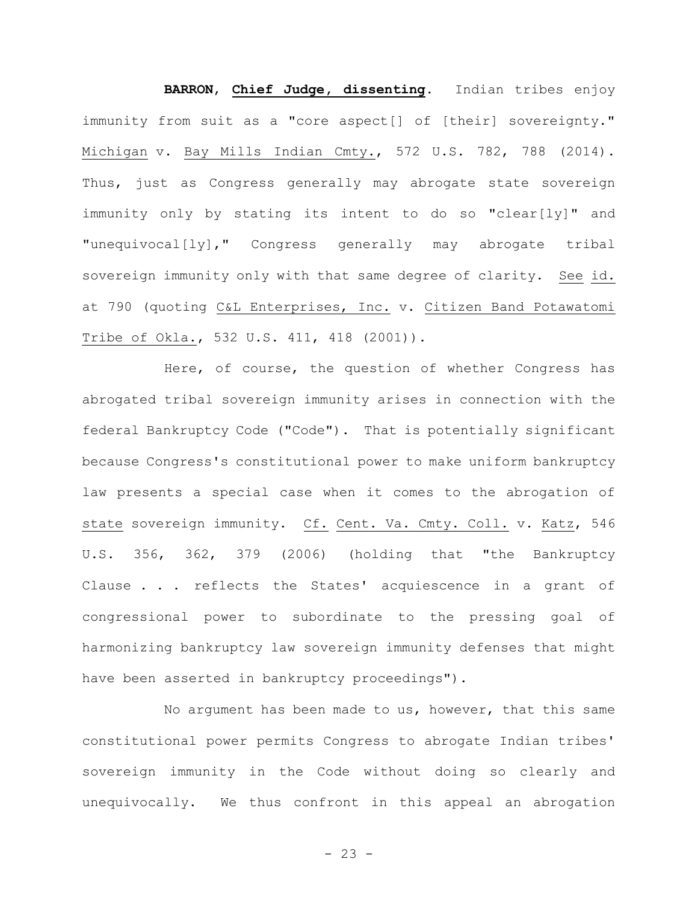**BARRON**, **Chief Judge, dissenting**. Indian tribes enjoy immunity from suit as a "core aspect[] of [their] sovereignty." Michigan v. Bay Mills Indian Cmty., 572 U.S. 782, 788 (2014). Thus, just as Congress generally may abrogate state sovereign immunity only by stating its intent to do so "clear[ly]" and "unequivocal[ly]," Congress generally may abrogate tribal sovereign immunity only with that same degree of clarity. See id. at 790 (quoting C&L Enterprises, Inc. v. Citizen Band Potawatomi Tribe of Okla., 532 U.S. 411, 418 (2001)).

Here, of course, the question of whether Congress has abrogated tribal sovereign immunity arises in connection with the federal Bankruptcy Code ("Code"). That is potentially significant because Congress's constitutional power to make uniform bankruptcy law presents a special case when it comes to the abrogation of state sovereign immunity. Cf. Cent. Va. Cmty. Coll. v. Katz, 546 U.S. 356, 362, 379 (2006) (holding that "the Bankruptcy Clause . . . reflects the States' acquiescence in a grant of congressional power to subordinate to the pressing goal of harmonizing bankruptcy law sovereign immunity defenses that might have been asserted in bankruptcy proceedings").

No argument has been made to us, however, that this same constitutional power permits Congress to abrogate Indian tribes' sovereign immunity in the Code without doing so clearly and unequivocally. We thus confront in this appeal an abrogation

 $- 23 -$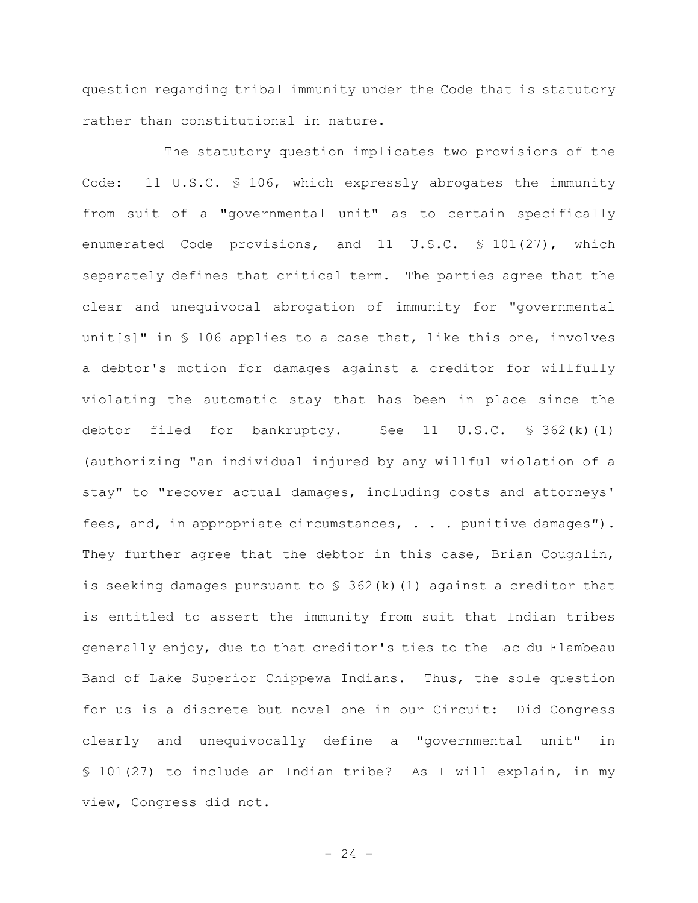question regarding tribal immunity under the Code that is statutory rather than constitutional in nature.

The statutory question implicates two provisions of the Code: 11 U.S.C. § 106, which expressly abrogates the immunity from suit of a "governmental unit" as to certain specifically enumerated Code provisions, and 11 U.S.C. § 101(27), which separately defines that critical term. The parties agree that the clear and unequivocal abrogation of immunity for "governmental unit[s]" in § 106 applies to a case that, like this one, involves a debtor's motion for damages against a creditor for willfully violating the automatic stay that has been in place since the debtor filed for bankruptcy. See  $11$  U.S.C. § 362(k)(1) (authorizing "an individual injured by any willful violation of a stay" to "recover actual damages, including costs and attorneys' fees, and, in appropriate circumstances, . . . punitive damages"). They further agree that the debtor in this case, Brian Coughlin, is seeking damages pursuant to  $\frac{1}{2}$  362(k)(1) against a creditor that is entitled to assert the immunity from suit that Indian tribes generally enjoy, due to that creditor's ties to the Lac du Flambeau Band of Lake Superior Chippewa Indians. Thus, the sole question for us is a discrete but novel one in our Circuit: Did Congress clearly and unequivocally define a "governmental unit" in § 101(27) to include an Indian tribe? As I will explain, in my view, Congress did not.

 $- 24 -$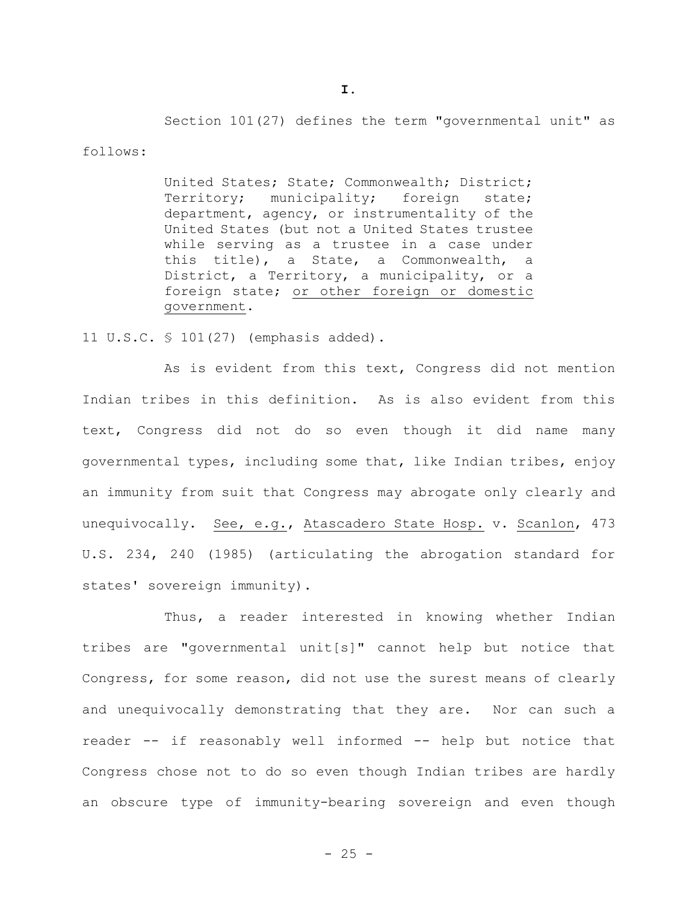Section 101(27) defines the term "governmental unit" as

follows:

United States; State; Commonwealth; District; Territory; municipality; foreign state; department, agency, or instrumentality of the United States (but not a United States trustee while serving as a trustee in a case under this title), a State, a Commonwealth, a District, a Territory, a municipality, or a foreign state; or other foreign or domestic government.

11 U.S.C. § 101(27) (emphasis added).

As is evident from this text, Congress did not mention Indian tribes in this definition. As is also evident from this text, Congress did not do so even though it did name many governmental types, including some that, like Indian tribes, enjoy an immunity from suit that Congress may abrogate only clearly and unequivocally. See, e.g., Atascadero State Hosp. v. Scanlon, 473 U.S. 234, 240 (1985) (articulating the abrogation standard for states' sovereign immunity).

Thus, a reader interested in knowing whether Indian tribes are "governmental unit[s]" cannot help but notice that Congress, for some reason, did not use the surest means of clearly and unequivocally demonstrating that they are. Nor can such a reader -- if reasonably well informed -- help but notice that Congress chose not to do so even though Indian tribes are hardly an obscure type of immunity-bearing sovereign and even though

 $- 25 -$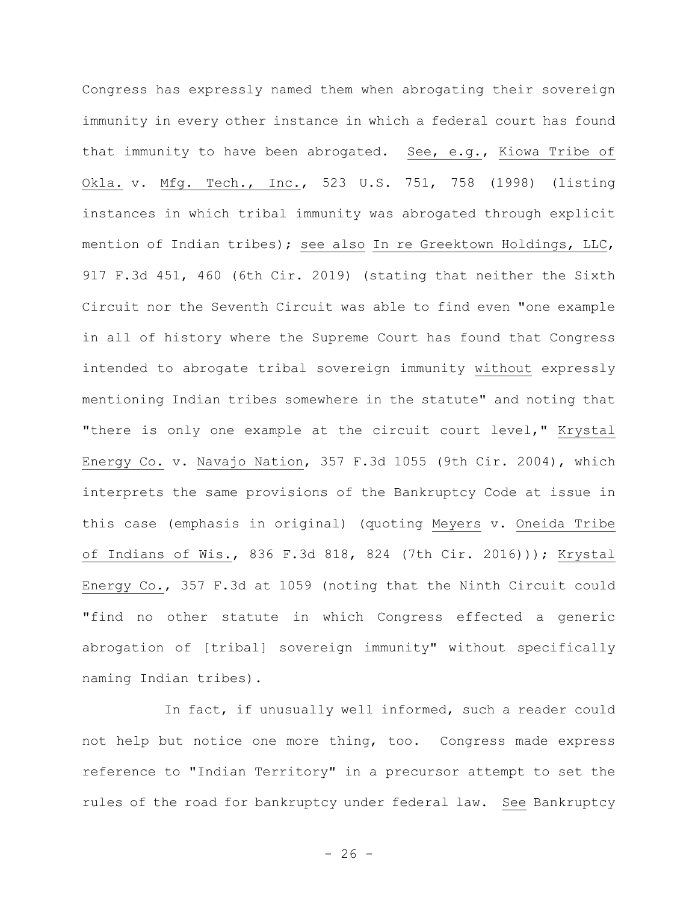Congress has expressly named them when abrogating their sovereign immunity in every other instance in which a federal court has found that immunity to have been abrogated. See, e.g., Kiowa Tribe of Okla. v. Mfg. Tech., Inc., 523 U.S. 751, 758 (1998) (listing instances in which tribal immunity was abrogated through explicit mention of Indian tribes); see also In re Greektown Holdings, LLC, 917 F.3d 451, 460 (6th Cir. 2019) (stating that neither the Sixth Circuit nor the Seventh Circuit was able to find even "one example in all of history where the Supreme Court has found that Congress intended to abrogate tribal sovereign immunity without expressly mentioning Indian tribes somewhere in the statute" and noting that "there is only one example at the circuit court level," Krystal Energy Co. v. Navajo Nation, 357 F.3d 1055 (9th Cir. 2004), which interprets the same provisions of the Bankruptcy Code at issue in this case (emphasis in original) (quoting Meyers v. Oneida Tribe of Indians of Wis., 836 F.3d 818, 824 (7th Cir. 2016))); Krystal Energy Co., 357 F.3d at 1059 (noting that the Ninth Circuit could "find no other statute in which Congress effected a generic abrogation of [tribal] sovereign immunity" without specifically naming Indian tribes).

In fact, if unusually well informed, such a reader could not help but notice one more thing, too. Congress made express reference to "Indian Territory" in a precursor attempt to set the rules of the road for bankruptcy under federal law. See Bankruptcy

 $- 26 -$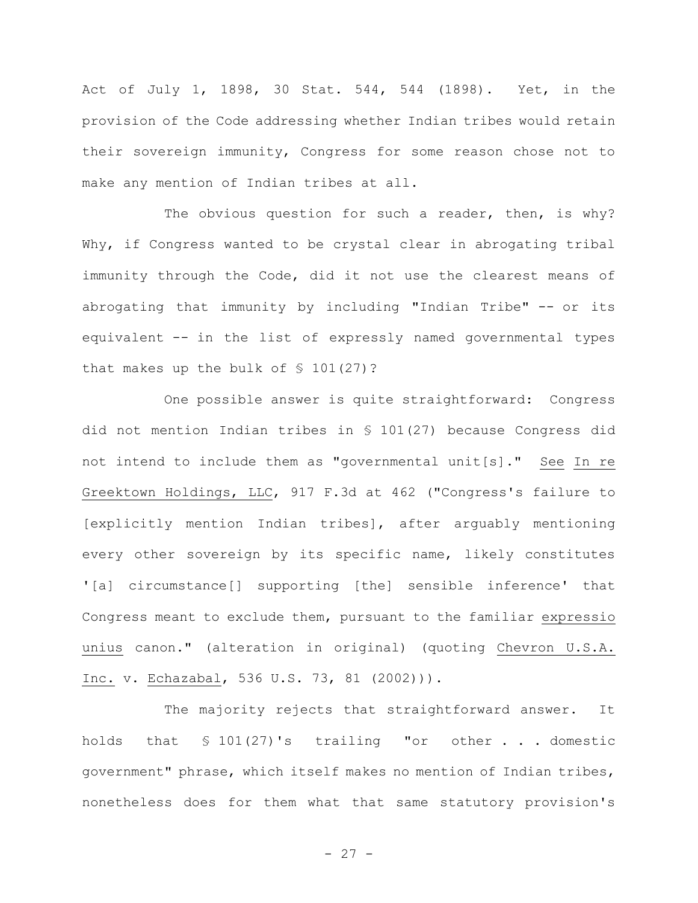Act of July 1, 1898, 30 Stat. 544, 544 (1898). Yet, in the provision of the Code addressing whether Indian tribes would retain their sovereign immunity, Congress for some reason chose not to make any mention of Indian tribes at all.

The obvious question for such a reader, then, is why? Why, if Congress wanted to be crystal clear in abrogating tribal immunity through the Code, did it not use the clearest means of abrogating that immunity by including "Indian Tribe" -- or its equivalent -- in the list of expressly named governmental types that makes up the bulk of  $\$$  101(27)?

One possible answer is quite straightforward: Congress did not mention Indian tribes in § 101(27) because Congress did not intend to include them as "governmental unit[s]." See In re Greektown Holdings, LLC, 917 F.3d at 462 ("Congress's failure to [explicitly mention Indian tribes], after arguably mentioning every other sovereign by its specific name, likely constitutes '[a] circumstance[] supporting [the] sensible inference' that Congress meant to exclude them, pursuant to the familiar expressio unius canon." (alteration in original) (quoting Chevron U.S.A. Inc. v. Echazabal, 536 U.S. 73, 81 (2002))).

The majority rejects that straightforward answer. It holds that § 101(27)'s trailing "or other . . . domestic government" phrase, which itself makes no mention of Indian tribes, nonetheless does for them what that same statutory provision's

- 27 -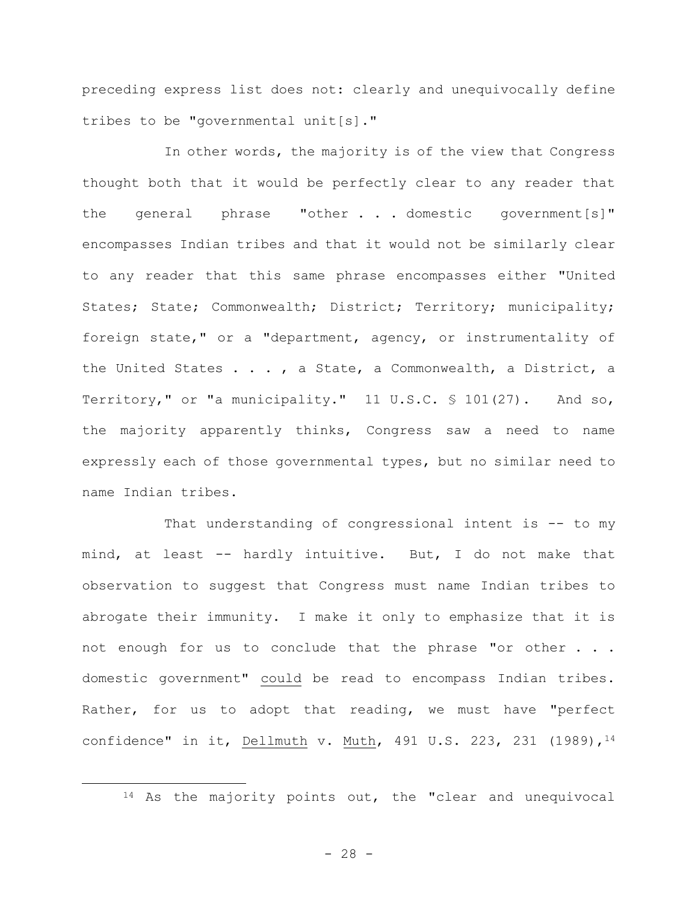preceding express list does not: clearly and unequivocally define tribes to be "governmental unit[s]."

In other words, the majority is of the view that Congress thought both that it would be perfectly clear to any reader that the general phrase "other . . . domestic government[s]" encompasses Indian tribes and that it would not be similarly clear to any reader that this same phrase encompasses either "United States; State; Commonwealth; District; Territory; municipality; foreign state," or a "department, agency, or instrumentality of the United States . . . , a State, a Commonwealth, a District, a Territory," or "a municipality." 11 U.S.C. § 101(27). And so, the majority apparently thinks, Congress saw a need to name expressly each of those governmental types, but no similar need to name Indian tribes.

That understanding of congressional intent is -- to my mind, at least -- hardly intuitive. But, I do not make that observation to suggest that Congress must name Indian tribes to abrogate their immunity. I make it only to emphasize that it is not enough for us to conclude that the phrase "or other . . . domestic government" could be read to encompass Indian tribes. Rather, for us to adopt that reading, we must have "perfect confidence" in it, Dellmuth v. Muth, 491 U.S. 223, 231 (1989), <sup>14</sup>

<sup>14</sup> As the majority points out, the "clear and unequivocal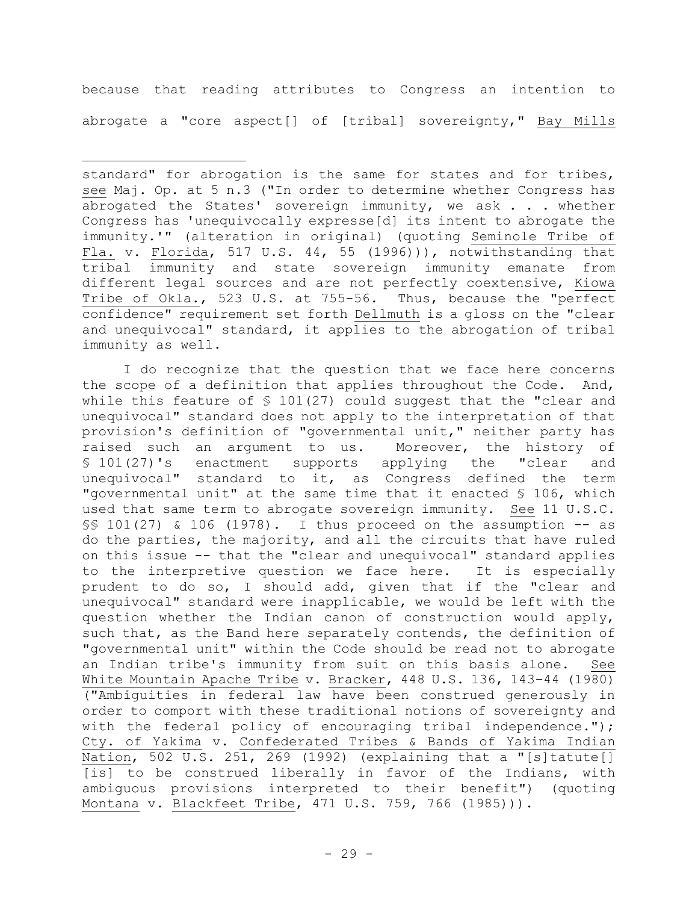because that reading attributes to Congress an intention to abrogate a "core aspect[] of [tribal] sovereignty," Bay Mills

I do recognize that the question that we face here concerns the scope of a definition that applies throughout the Code. And, while this feature of  $\frac{101(27)}{27}$  could suggest that the "clear and unequivocal" standard does not apply to the interpretation of that provision's definition of "governmental unit," neither party has raised such an argument to us. Moreover, the history of § 101(27)'s enactment supports applying the "clear and unequivocal" standard to it, as Congress defined the term "governmental unit" at the same time that it enacted § 106, which used that same term to abrogate sovereign immunity. See 11 U.S.C. §§ 101(27) & 106 (1978). I thus proceed on the assumption -- as do the parties, the majority, and all the circuits that have ruled on this issue -- that the "clear and unequivocal" standard applies to the interpretive question we face here. It is especially prudent to do so, I should add, given that if the "clear and unequivocal" standard were inapplicable, we would be left with the question whether the Indian canon of construction would apply, such that, as the Band here separately contends, the definition of "governmental unit" within the Code should be read not to abrogate an Indian tribe's immunity from suit on this basis alone. See White Mountain Apache Tribe v. Bracker, 448 U.S. 136, 143–44 (1980) ("Ambiguities in federal law have been construed generously in order to comport with these traditional notions of sovereignty and with the federal policy of encouraging tribal independence."); Cty. of Yakima v. Confederated Tribes & Bands of Yakima Indian Nation, 502 U.S. 251, 269 (1992) (explaining that a "[s]tatute[] [is] to be construed liberally in favor of the Indians, with ambiguous provisions interpreted to their benefit") (quoting Montana v. Blackfeet Tribe, 471 U.S. 759, 766 (1985))).

standard" for abrogation is the same for states and for tribes, see Maj. Op. at 5 n.3 ("In order to determine whether Congress has abrogated the States' sovereign immunity, we ask . . . whether Congress has 'unequivocally expresse[d] its intent to abrogate the immunity.'" (alteration in original) (quoting Seminole Tribe of Fla. v. Florida, 517 U.S. 44, 55 (1996))), notwithstanding that tribal immunity and state sovereign immunity emanate from different legal sources and are not perfectly coextensive, Kiowa Tribe of Okla., 523 U.S. at 755-56. Thus, because the "perfect confidence" requirement set forth Dellmuth is a gloss on the "clear and unequivocal" standard, it applies to the abrogation of tribal immunity as well.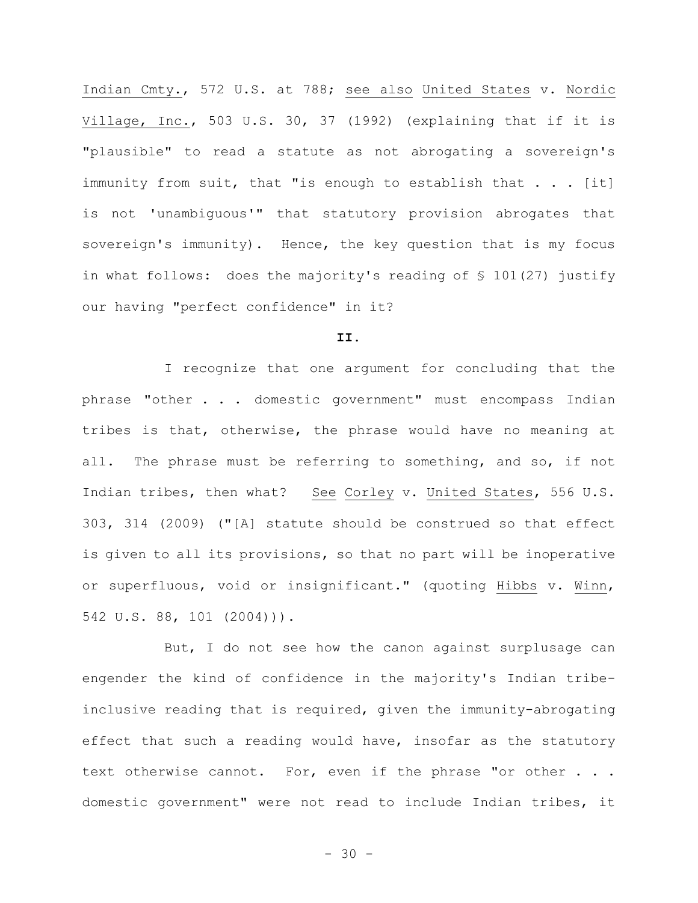Indian Cmty., 572 U.S. at 788; see also United States v. Nordic Village, Inc., 503 U.S. 30, 37 (1992) (explaining that if it is "plausible" to read a statute as not abrogating a sovereign's immunity from suit, that "is enough to establish that  $\ldots$  [it] is not 'unambiguous'" that statutory provision abrogates that sovereign's immunity). Hence, the key question that is my focus in what follows: does the majority's reading of § 101(27) justify our having "perfect confidence" in it?

# **II.**

I recognize that one argument for concluding that the phrase "other . . . domestic government" must encompass Indian tribes is that, otherwise, the phrase would have no meaning at all. The phrase must be referring to something, and so, if not Indian tribes, then what? See Corley v. United States, 556 U.S. 303, 314 (2009) ("[A] statute should be construed so that effect is given to all its provisions, so that no part will be inoperative or superfluous, void or insignificant." (quoting Hibbs v. Winn, 542 U.S. 88, 101 (2004))).

But, I do not see how the canon against surplusage can engender the kind of confidence in the majority's Indian tribeinclusive reading that is required, given the immunity-abrogating effect that such a reading would have, insofar as the statutory text otherwise cannot. For, even if the phrase "or other . . . domestic government" were not read to include Indian tribes, it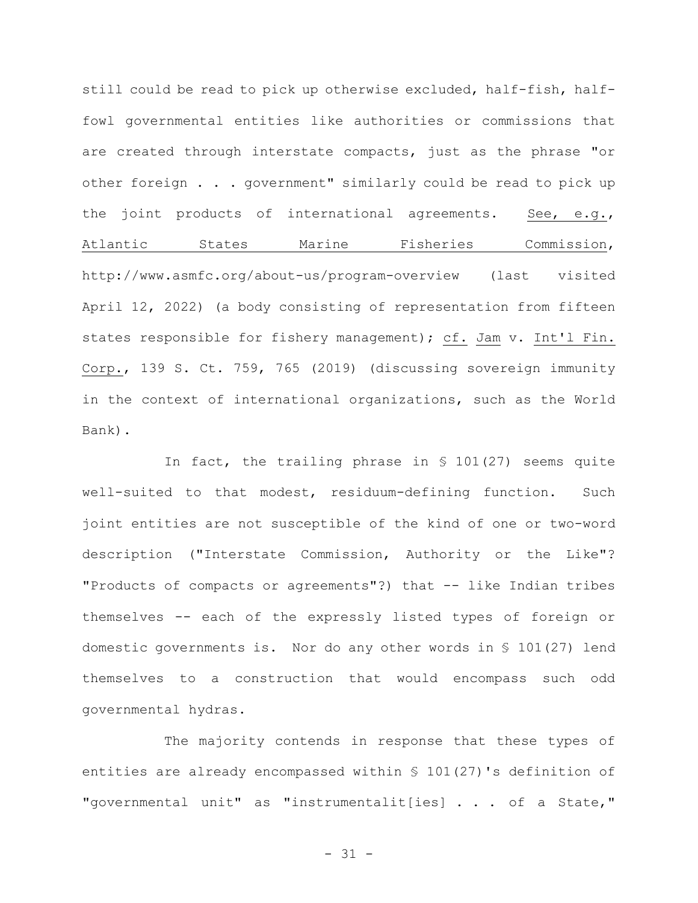still could be read to pick up otherwise excluded, half-fish, halffowl governmental entities like authorities or commissions that are created through interstate compacts, just as the phrase "or other foreign . . . government" similarly could be read to pick up the joint products of international agreements. See, e.g., Atlantic States Marine Fisheries Commission, http://www.asmfc.org/about-us/program-overview (last visited April 12, 2022) (a body consisting of representation from fifteen states responsible for fishery management); cf. Jam v. Int'l Fin. Corp., 139 S. Ct. 759, 765 (2019) (discussing sovereign immunity in the context of international organizations, such as the World Bank).

In fact, the trailing phrase in § 101(27) seems quite well-suited to that modest, residuum-defining function. Such joint entities are not susceptible of the kind of one or two-word description ("Interstate Commission, Authority or the Like"? "Products of compacts or agreements"?) that -- like Indian tribes themselves -- each of the expressly listed types of foreign or domestic governments is. Nor do any other words in § 101(27) lend themselves to a construction that would encompass such odd governmental hydras.

The majority contends in response that these types of entities are already encompassed within § 101(27)'s definition of "governmental unit" as "instrumentalit[ies] . . . of a State,"

- 31 -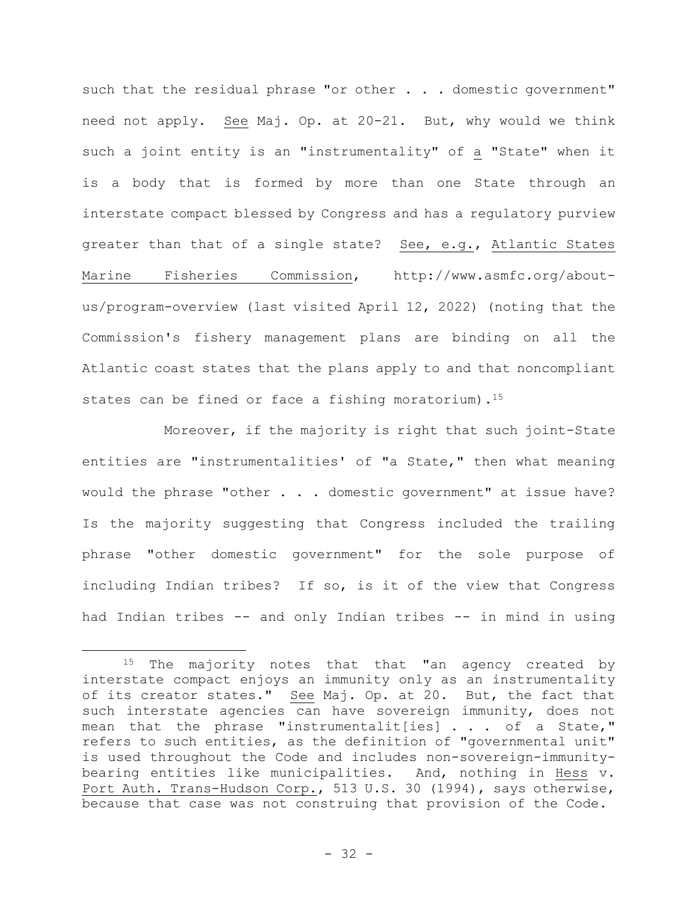such that the residual phrase "or other . . . domestic government" need not apply. See Maj. Op. at 20-21. But, why would we think such a joint entity is an "instrumentality" of a "State" when it is a body that is formed by more than one State through an interstate compact blessed by Congress and has a regulatory purview greater than that of a single state? See, e.g., Atlantic States Marine Fisheries Commission, http://www.asmfc.org/aboutus/program-overview (last visited April 12, 2022) (noting that the Commission's fishery management plans are binding on all the Atlantic coast states that the plans apply to and that noncompliant states can be fined or face a fishing moratorium).<sup>15</sup>

Moreover, if the majority is right that such joint-State entities are "instrumentalities' of "a State," then what meaning would the phrase "other . . . domestic government" at issue have? Is the majority suggesting that Congress included the trailing phrase "other domestic government" for the sole purpose of including Indian tribes? If so, is it of the view that Congress had Indian tribes -- and only Indian tribes -- in mind in using

<sup>&</sup>lt;sup>15</sup> The majority notes that that "an agency created by interstate compact enjoys an immunity only as an instrumentality of its creator states." See Maj. Op. at 20. But, the fact that such interstate agencies can have sovereign immunity, does not mean that the phrase "instrumentalit[ies] . . . of a State," refers to such entities, as the definition of "governmental unit" is used throughout the Code and includes non-sovereign-immunitybearing entities like municipalities. And, nothing in Hess v. Port Auth. Trans-Hudson Corp., 513 U.S. 30 (1994), says otherwise, because that case was not construing that provision of the Code.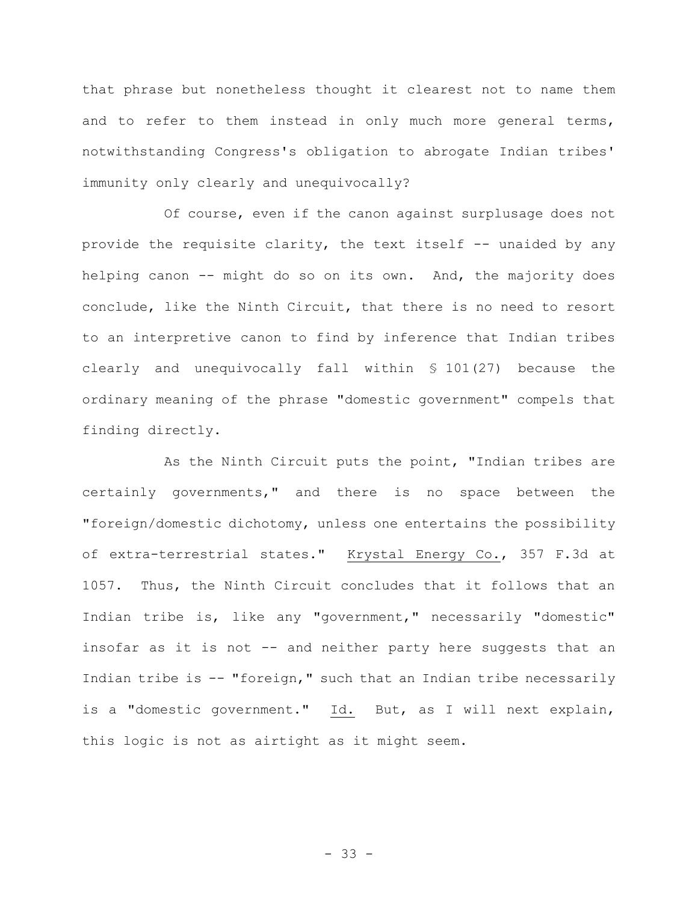that phrase but nonetheless thought it clearest not to name them and to refer to them instead in only much more general terms, notwithstanding Congress's obligation to abrogate Indian tribes' immunity only clearly and unequivocally?

Of course, even if the canon against surplusage does not provide the requisite clarity, the text itself -- unaided by any helping canon -- might do so on its own. And, the majority does conclude, like the Ninth Circuit, that there is no need to resort to an interpretive canon to find by inference that Indian tribes clearly and unequivocally fall within § 101(27) because the ordinary meaning of the phrase "domestic government" compels that finding directly.

As the Ninth Circuit puts the point, "Indian tribes are certainly governments," and there is no space between the "foreign/domestic dichotomy, unless one entertains the possibility of extra-terrestrial states." Krystal Energy Co., 357 F.3d at 1057. Thus, the Ninth Circuit concludes that it follows that an Indian tribe is, like any "government," necessarily "domestic" insofar as it is not -- and neither party here suggests that an Indian tribe is -- "foreign," such that an Indian tribe necessarily is a "domestic government." Id. But, as I will next explain, this logic is not as airtight as it might seem.

- 33 -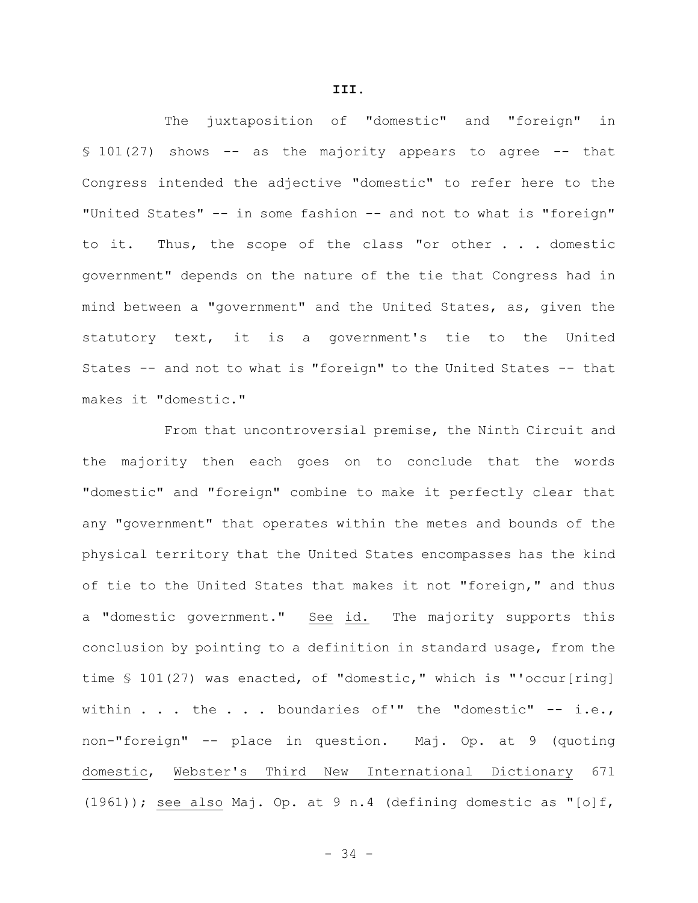The juxtaposition of "domestic" and "foreign" in  $$101(27)$  shows -- as the majority appears to agree -- that Congress intended the adjective "domestic" to refer here to the "United States" -- in some fashion -- and not to what is "foreign" to it. Thus, the scope of the class "or other . . . domestic government" depends on the nature of the tie that Congress had in mind between a "government" and the United States, as, given the statutory text, it is a government's tie to the United States -- and not to what is "foreign" to the United States -- that makes it "domestic."

From that uncontroversial premise, the Ninth Circuit and the majority then each goes on to conclude that the words "domestic" and "foreign" combine to make it perfectly clear that any "government" that operates within the metes and bounds of the physical territory that the United States encompasses has the kind of tie to the United States that makes it not "foreign," and thus a "domestic government." See id. The majority supports this conclusion by pointing to a definition in standard usage, from the time § 101(27) was enacted, of "domestic," which is "'occur[ring] within . . . the . . . boundaries of'" the "domestic" -- i.e., non-"foreign" -- place in question. Maj. Op. at 9 (quoting domestic, Webster's Third New International Dictionary 671 (1961)); see also Maj. Op. at 9 n.4 (defining domestic as "[o]f,

**III.**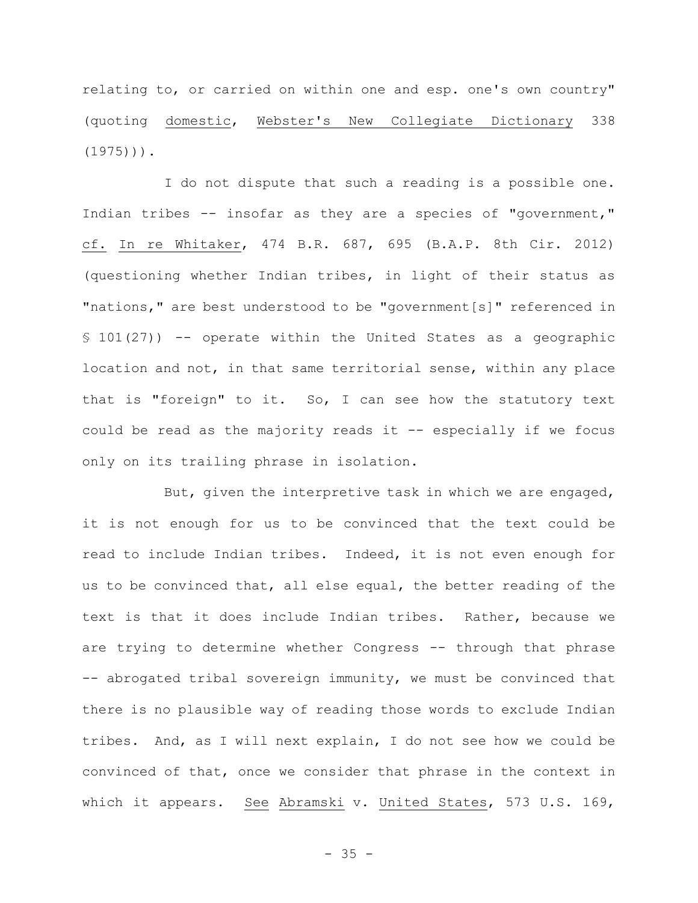relating to, or carried on within one and esp. one's own country" (quoting domestic, Webster's New Collegiate Dictionary 338  $(1975)$ )).

I do not dispute that such a reading is a possible one. Indian tribes -- insofar as they are a species of "government," cf. In re Whitaker, 474 B.R. 687, 695 (B.A.P. 8th Cir. 2012) (questioning whether Indian tribes, in light of their status as "nations," are best understood to be "government[s]" referenced in § 101(27)) -- operate within the United States as a geographic location and not, in that same territorial sense, within any place that is "foreign" to it. So, I can see how the statutory text could be read as the majority reads it -- especially if we focus only on its trailing phrase in isolation.

But, given the interpretive task in which we are engaged, it is not enough for us to be convinced that the text could be read to include Indian tribes. Indeed, it is not even enough for us to be convinced that, all else equal, the better reading of the text is that it does include Indian tribes. Rather, because we are trying to determine whether Congress -- through that phrase -- abrogated tribal sovereign immunity, we must be convinced that there is no plausible way of reading those words to exclude Indian tribes. And, as I will next explain, I do not see how we could be convinced of that, once we consider that phrase in the context in which it appears. See Abramski v. United States, 573 U.S. 169,

 $- 35 -$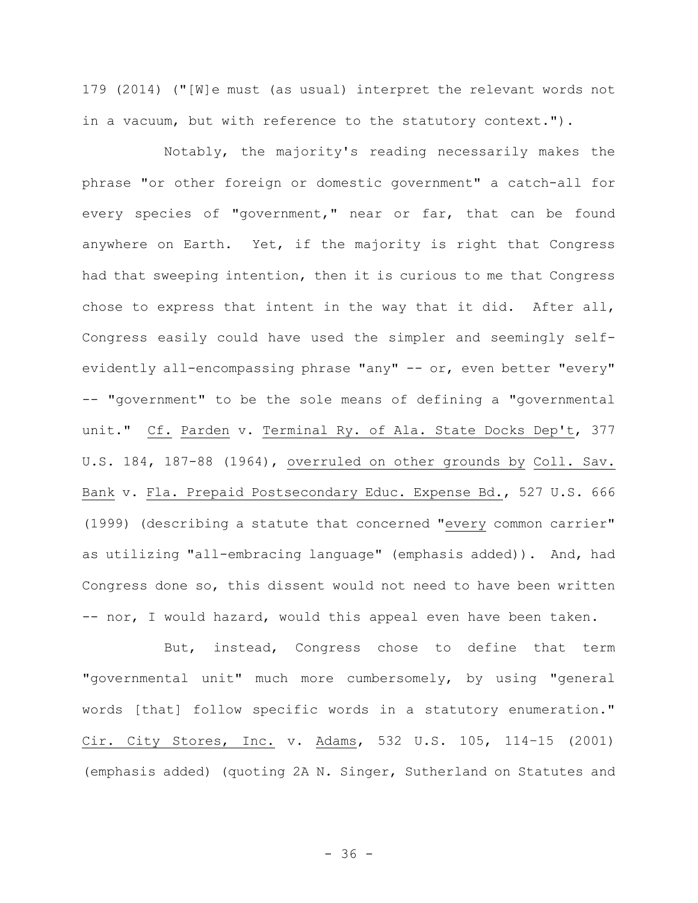179 (2014) ("[W]e must (as usual) interpret the relevant words not in a vacuum, but with reference to the statutory context.").

Notably, the majority's reading necessarily makes the phrase "or other foreign or domestic government" a catch-all for every species of "government," near or far, that can be found anywhere on Earth. Yet, if the majority is right that Congress had that sweeping intention, then it is curious to me that Congress chose to express that intent in the way that it did. After all, Congress easily could have used the simpler and seemingly selfevidently all-encompassing phrase "any" -- or, even better "every" -- "government" to be the sole means of defining a "governmental unit." Cf. Parden v. Terminal Ry. of Ala. State Docks Dep't, 377 U.S. 184, 187-88 (1964), overruled on other grounds by Coll. Sav. Bank v. Fla. Prepaid Postsecondary Educ. Expense Bd., 527 U.S. 666 (1999) (describing a statute that concerned "every common carrier" as utilizing "all-embracing language" (emphasis added)). And, had Congress done so, this dissent would not need to have been written -- nor, I would hazard, would this appeal even have been taken.

But, instead, Congress chose to define that term "governmental unit" much more cumbersomely, by using "general words [that] follow specific words in a statutory enumeration." Cir. City Stores, Inc. v. Adams, 532 U.S. 105, 114–15 (2001) (emphasis added) (quoting 2A N. Singer, Sutherland on Statutes and

 $- 36 -$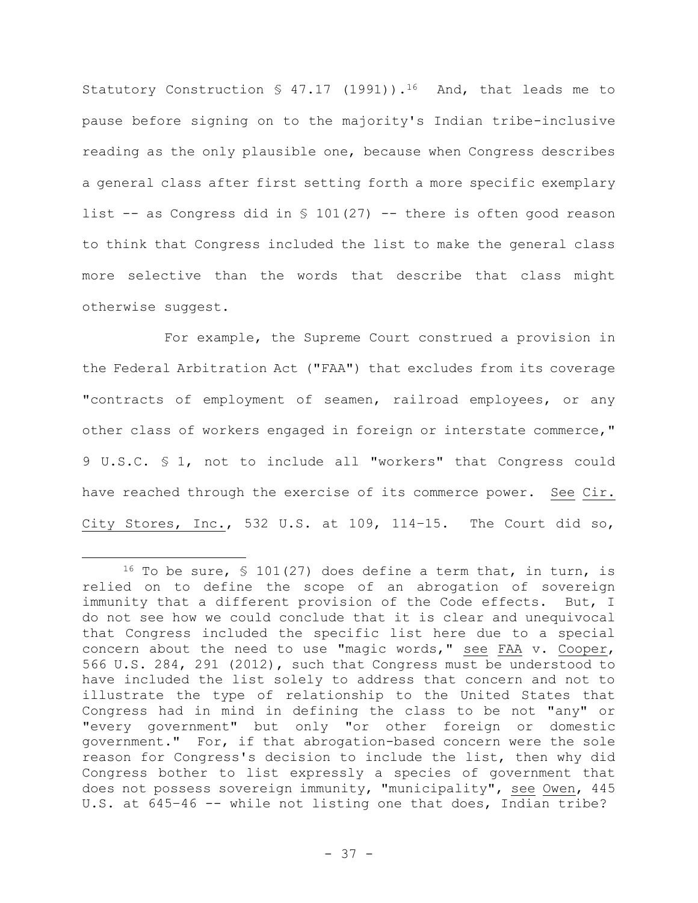Statutory Construction  $\frac{1}{2}$  47.17 (1991)).<sup>16</sup> And, that leads me to pause before signing on to the majority's Indian tribe-inclusive reading as the only plausible one, because when Congress describes a general class after first setting forth a more specific exemplary list  $-$  as Congress did in § 101(27)  $-$ - there is often good reason to think that Congress included the list to make the general class more selective than the words that describe that class might otherwise suggest.

For example, the Supreme Court construed a provision in the Federal Arbitration Act ("FAA") that excludes from its coverage "contracts of employment of seamen, railroad employees, or any other class of workers engaged in foreign or interstate commerce," 9 U.S.C. § 1, not to include all "workers" that Congress could have reached through the exercise of its commerce power. See Cir. City Stores, Inc., 532 U.S. at 109, 114–15. The Court did so,

<sup>&</sup>lt;sup>16</sup> To be sure, § 101(27) does define a term that, in turn, is relied on to define the scope of an abrogation of sovereign immunity that a different provision of the Code effects. But, I do not see how we could conclude that it is clear and unequivocal that Congress included the specific list here due to a special concern about the need to use "magic words," see FAA v. Cooper, 566 U.S. 284, 291 (2012), such that Congress must be understood to have included the list solely to address that concern and not to illustrate the type of relationship to the United States that Congress had in mind in defining the class to be not "any" or "every government" but only "or other foreign or domestic government." For, if that abrogation-based concern were the sole reason for Congress's decision to include the list, then why did Congress bother to list expressly a species of government that does not possess sovereign immunity, "municipality", see Owen, 445 U.S. at 645–46 -- while not listing one that does, Indian tribe?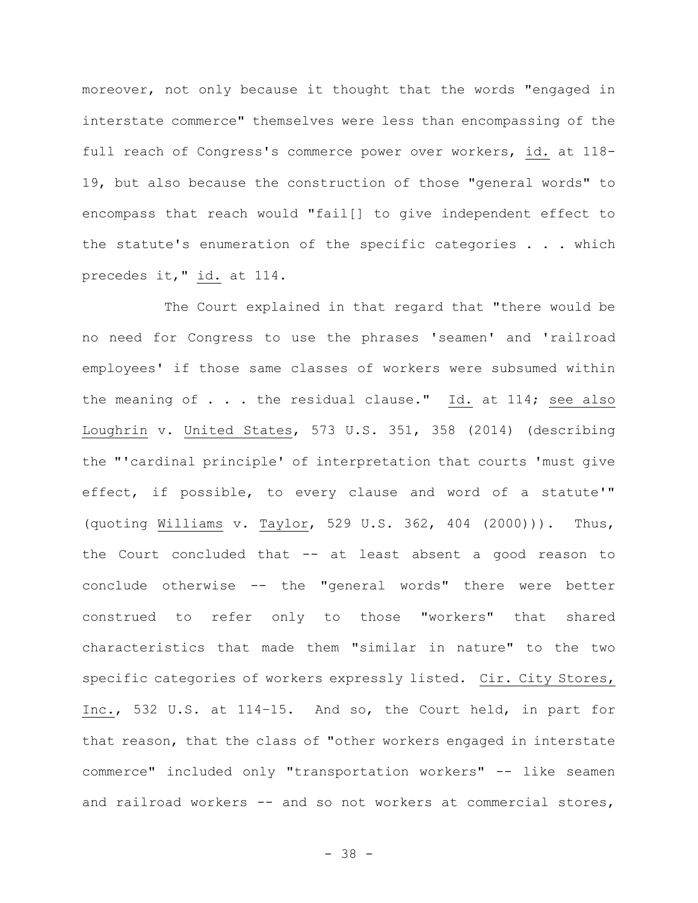moreover, not only because it thought that the words "engaged in interstate commerce" themselves were less than encompassing of the full reach of Congress's commerce power over workers, id. at 118- 19, but also because the construction of those "general words" to encompass that reach would "fail[] to give independent effect to the statute's enumeration of the specific categories . . . which precedes it," id. at 114.

The Court explained in that regard that "there would be no need for Congress to use the phrases 'seamen' and 'railroad employees' if those same classes of workers were subsumed within the meaning of  $\ldots$  the residual clause." Id. at 114; see also Loughrin v. United States, 573 U.S. 351, 358 (2014) (describing the "'cardinal principle' of interpretation that courts 'must give effect, if possible, to every clause and word of a statute'" (quoting Williams v. Taylor, 529 U.S. 362, 404 (2000))). Thus, the Court concluded that -- at least absent a good reason to conclude otherwise -- the "general words" there were better construed to refer only to those "workers" that shared characteristics that made them "similar in nature" to the two specific categories of workers expressly listed. Cir. City Stores, Inc., 532 U.S. at 114–15. And so, the Court held, in part for that reason, that the class of "other workers engaged in interstate commerce" included only "transportation workers" -- like seamen and railroad workers -- and so not workers at commercial stores,

- 38 -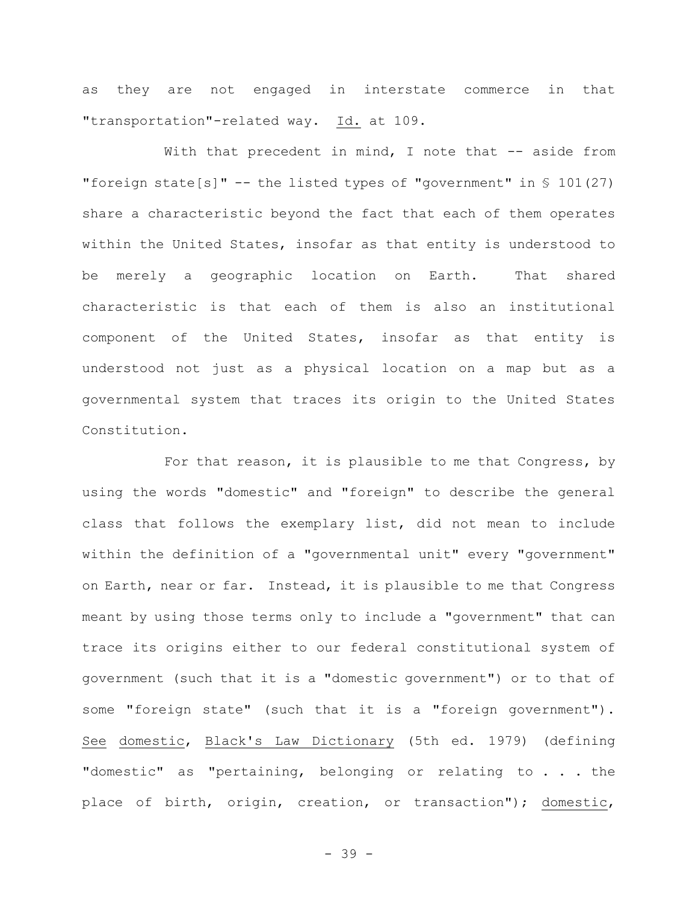as they are not engaged in interstate commerce in that "transportation"-related way. Id. at 109.

With that precedent in mind, I note that -- aside from "foreign state[s]" -- the listed types of "government" in § 101(27) share a characteristic beyond the fact that each of them operates within the United States, insofar as that entity is understood to be merely a geographic location on Earth. That shared characteristic is that each of them is also an institutional component of the United States, insofar as that entity is understood not just as a physical location on a map but as a governmental system that traces its origin to the United States Constitution.

For that reason, it is plausible to me that Congress, by using the words "domestic" and "foreign" to describe the general class that follows the exemplary list, did not mean to include within the definition of a "governmental unit" every "government" on Earth, near or far. Instead, it is plausible to me that Congress meant by using those terms only to include a "government" that can trace its origins either to our federal constitutional system of government (such that it is a "domestic government") or to that of some "foreign state" (such that it is a "foreign government"). See domestic, Black's Law Dictionary (5th ed. 1979) (defining "domestic" as "pertaining, belonging or relating to . . . the place of birth, origin, creation, or transaction"); domestic,

- 39 -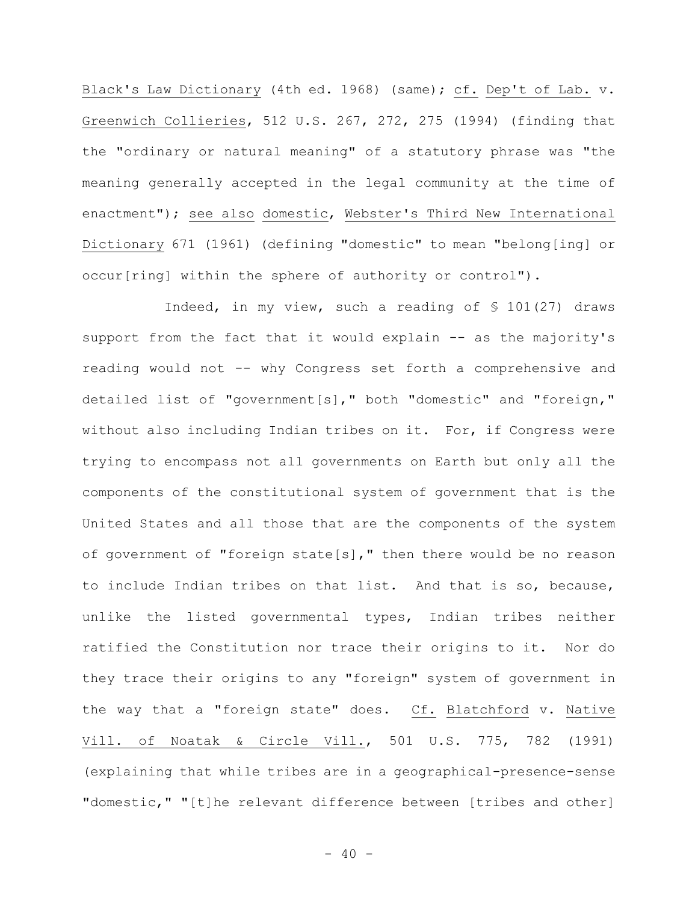Black's Law Dictionary (4th ed. 1968) (same); cf. Dep't of Lab. v. Greenwich Collieries, 512 U.S. 267, 272, 275 (1994) (finding that the "ordinary or natural meaning" of a statutory phrase was "the meaning generally accepted in the legal community at the time of enactment"); see also domestic, Webster's Third New International Dictionary 671 (1961) (defining "domestic" to mean "belong[ing] or occur[ring] within the sphere of authority or control").

Indeed, in my view, such a reading of § 101(27) draws support from the fact that it would explain -- as the majority's reading would not -- why Congress set forth a comprehensive and detailed list of "government[s]," both "domestic" and "foreign," without also including Indian tribes on it. For, if Congress were trying to encompass not all governments on Earth but only all the components of the constitutional system of government that is the United States and all those that are the components of the system of government of "foreign state[s]," then there would be no reason to include Indian tribes on that list. And that is so, because, unlike the listed governmental types, Indian tribes neither ratified the Constitution nor trace their origins to it. Nor do they trace their origins to any "foreign" system of government in the way that a "foreign state" does. Cf. Blatchford v. Native Vill. of Noatak & Circle Vill., 501 U.S. 775, 782 (1991) (explaining that while tribes are in a geographical-presence-sense "domestic," "[t]he relevant difference between [tribes and other]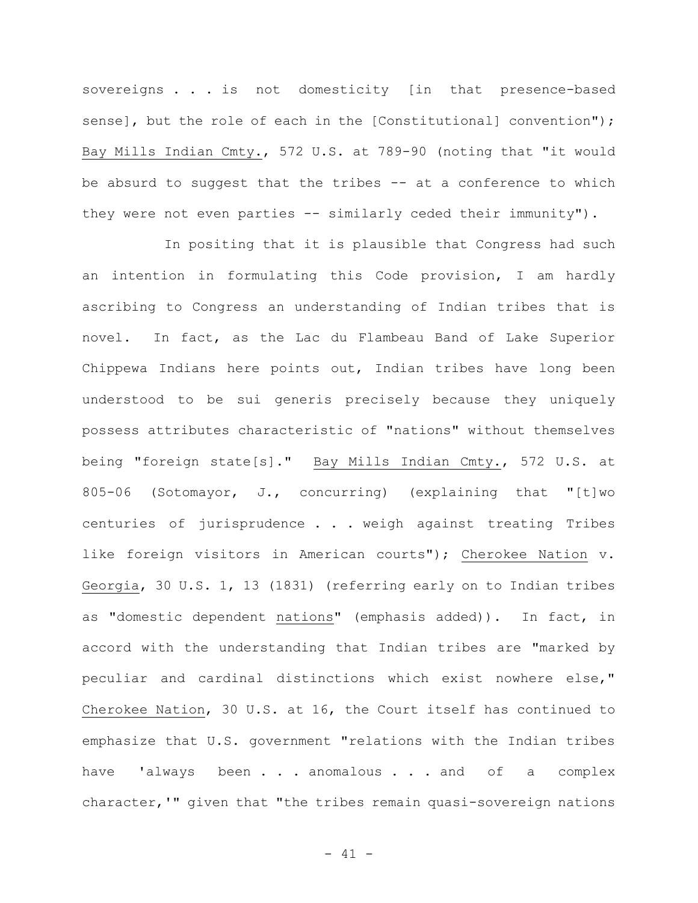sovereigns . . . is not domesticity [in that presence-based sense], but the role of each in the [Constitutional] convention"); Bay Mills Indian Cmty., 572 U.S. at 789-90 (noting that "it would be absurd to suggest that the tribes -- at a conference to which they were not even parties -- similarly ceded their immunity").

In positing that it is plausible that Congress had such an intention in formulating this Code provision, I am hardly ascribing to Congress an understanding of Indian tribes that is novel. In fact, as the Lac du Flambeau Band of Lake Superior Chippewa Indians here points out, Indian tribes have long been understood to be sui generis precisely because they uniquely possess attributes characteristic of "nations" without themselves being "foreign state[s]." Bay Mills Indian Cmty., 572 U.S. at 805-06 (Sotomayor, J., concurring) (explaining that "[t]wo centuries of jurisprudence . . . weigh against treating Tribes like foreign visitors in American courts"); Cherokee Nation v. Georgia, 30 U.S. 1, 13 (1831) (referring early on to Indian tribes as "domestic dependent nations" (emphasis added)). In fact, in accord with the understanding that Indian tribes are "marked by peculiar and cardinal distinctions which exist nowhere else," Cherokee Nation, 30 U.S. at 16, the Court itself has continued to emphasize that U.S. government "relations with the Indian tribes have 'always been . . . anomalous . . . and of a complex character,'" given that "the tribes remain quasi-sovereign nations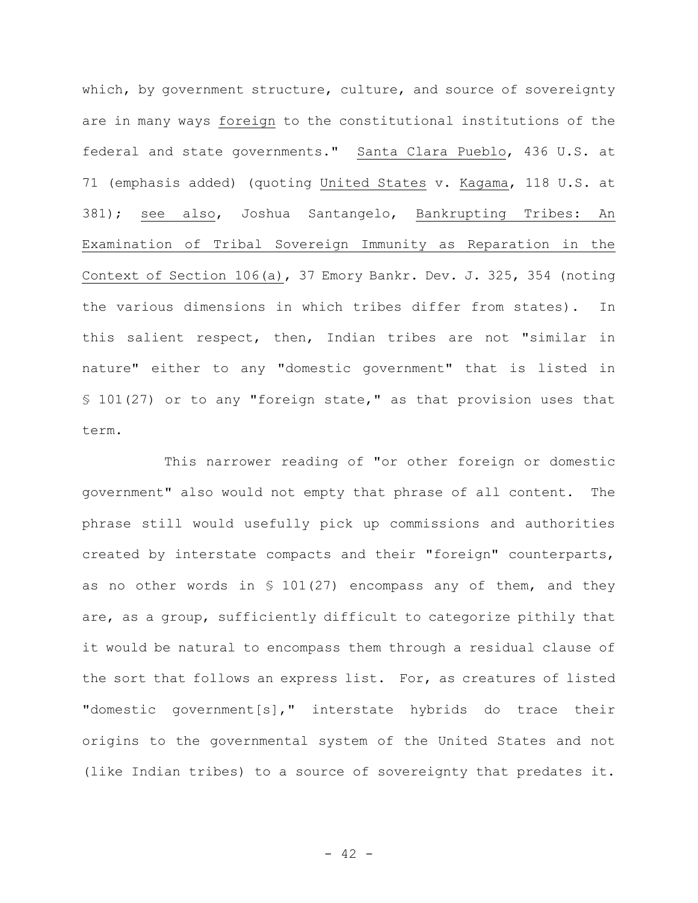which, by government structure, culture, and source of sovereignty are in many ways foreign to the constitutional institutions of the federal and state governments." Santa Clara Pueblo, 436 U.S. at 71 (emphasis added) (quoting United States v. Kagama, 118 U.S. at 381); see also, Joshua Santangelo, Bankrupting Tribes: An Examination of Tribal Sovereign Immunity as Reparation in the Context of Section 106(a), 37 Emory Bankr. Dev. J. 325, 354 (noting the various dimensions in which tribes differ from states). In this salient respect, then, Indian tribes are not "similar in nature" either to any "domestic government" that is listed in § 101(27) or to any "foreign state," as that provision uses that term.

This narrower reading of "or other foreign or domestic government" also would not empty that phrase of all content. The phrase still would usefully pick up commissions and authorities created by interstate compacts and their "foreign" counterparts, as no other words in § 101(27) encompass any of them, and they are, as a group, sufficiently difficult to categorize pithily that it would be natural to encompass them through a residual clause of the sort that follows an express list. For, as creatures of listed "domestic government[s]," interstate hybrids do trace their origins to the governmental system of the United States and not (like Indian tribes) to a source of sovereignty that predates it.

 $- 42 -$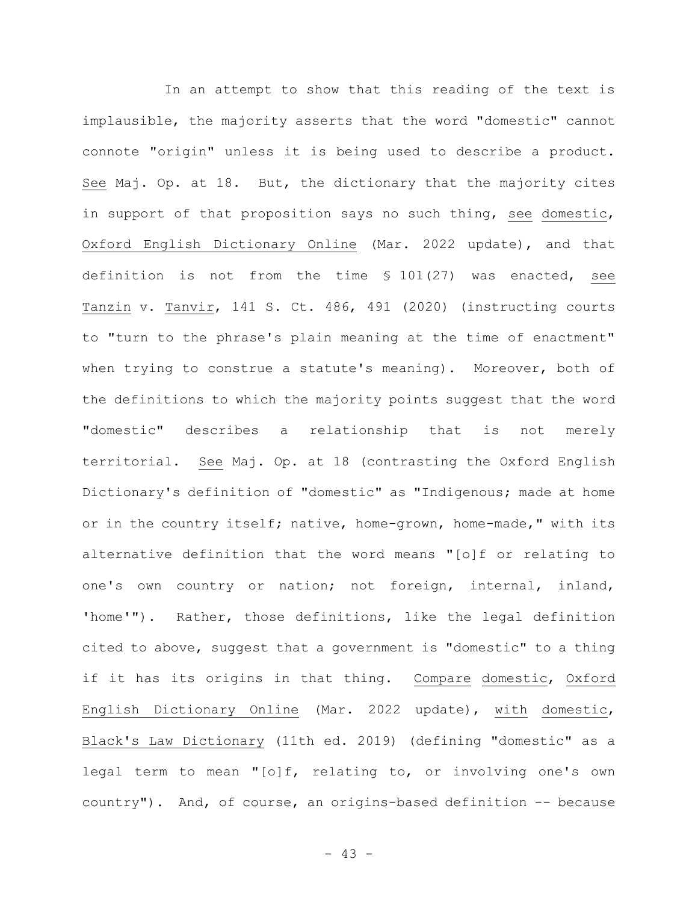In an attempt to show that this reading of the text is implausible, the majority asserts that the word "domestic" cannot connote "origin" unless it is being used to describe a product. See Maj. Op. at 18. But, the dictionary that the majority cites in support of that proposition says no such thing, see domestic, Oxford English Dictionary Online (Mar. 2022 update), and that definition is not from the time § 101(27) was enacted, see Tanzin v. Tanvir, 141 S. Ct. 486, 491 (2020) (instructing courts to "turn to the phrase's plain meaning at the time of enactment" when trying to construe a statute's meaning). Moreover, both of the definitions to which the majority points suggest that the word "domestic" describes a relationship that is not merely territorial. See Maj. Op. at 18 (contrasting the Oxford English Dictionary's definition of "domestic" as "Indigenous; made at home or in the country itself; native, home-grown, home-made," with its alternative definition that the word means "[o]f or relating to one's own country or nation; not foreign, internal, inland, 'home'"). Rather, those definitions, like the legal definition cited to above, suggest that a government is "domestic" to a thing if it has its origins in that thing. Compare domestic, Oxford English Dictionary Online (Mar. 2022 update), with domestic, Black's Law Dictionary (11th ed. 2019) (defining "domestic" as a legal term to mean **"**[o]f, relating to, or involving one's own country"). And, of course, an origins-based definition -- because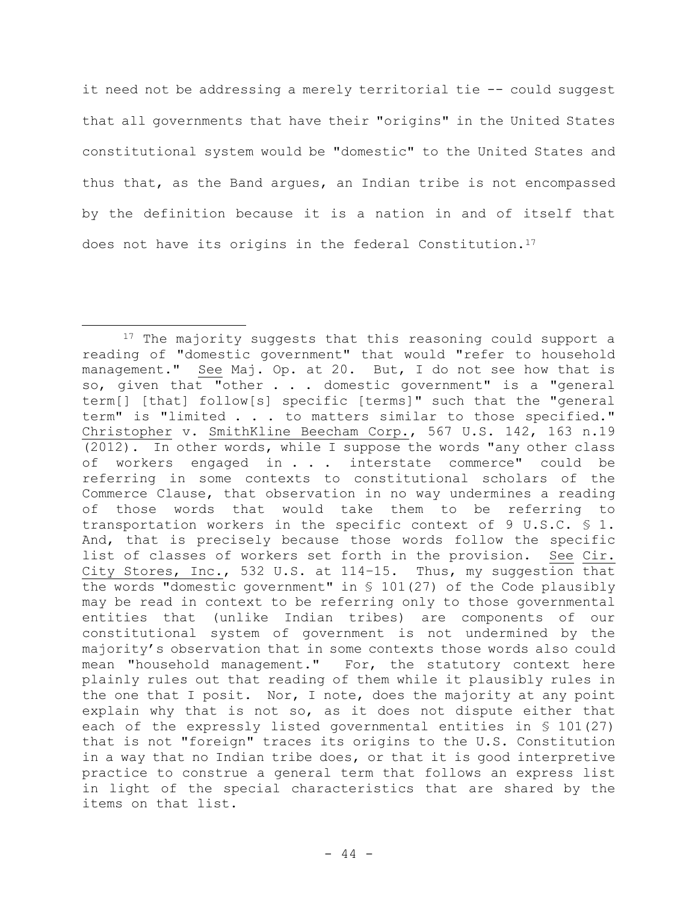it need not be addressing a merely territorial tie -- could suggest that all governments that have their "origins" in the United States constitutional system would be "domestic" to the United States and thus that, as the Band argues, an Indian tribe is not encompassed by the definition because it is a nation in and of itself that does not have its origins in the federal Constitution.<sup>17</sup>

<sup>&</sup>lt;sup>17</sup> The majority suggests that this reasoning could support a reading of "domestic government" that would "refer to household management." See Maj. Op. at 20. But, I do not see how that is so, given that "other . . . domestic government" is a "general term[] [that] follow[s] specific [terms]" such that the "general term" is "limited . . . to matters similar to those specified." Christopher v. SmithKline Beecham Corp., 567 U.S. 142, 163 n.19 (2012). In other words, while I suppose the words "any other class of workers engaged in . . . interstate commerce" could be referring in some contexts to constitutional scholars of the Commerce Clause, that observation in no way undermines a reading of those words that would take them to be referring to transportation workers in the specific context of 9 U.S.C. § 1. And, that is precisely because those words follow the specific list of classes of workers set forth in the provision. See Cir. City Stores, Inc., 532 U.S. at 114–15. Thus, my suggestion that the words "domestic government" in § 101(27) of the Code plausibly may be read in context to be referring only to those governmental entities that (unlike Indian tribes) are components of our constitutional system of government is not undermined by the majority's observation that in some contexts those words also could mean "household management." For, the statutory context here plainly rules out that reading of them while it plausibly rules in the one that I posit. Nor, I note, does the majority at any point explain why that is not so, as it does not dispute either that each of the expressly listed governmental entities in § 101(27) that is not "foreign" traces its origins to the U.S. Constitution in a way that no Indian tribe does, or that it is good interpretive practice to construe a general term that follows an express list in light of the special characteristics that are shared by the items on that list.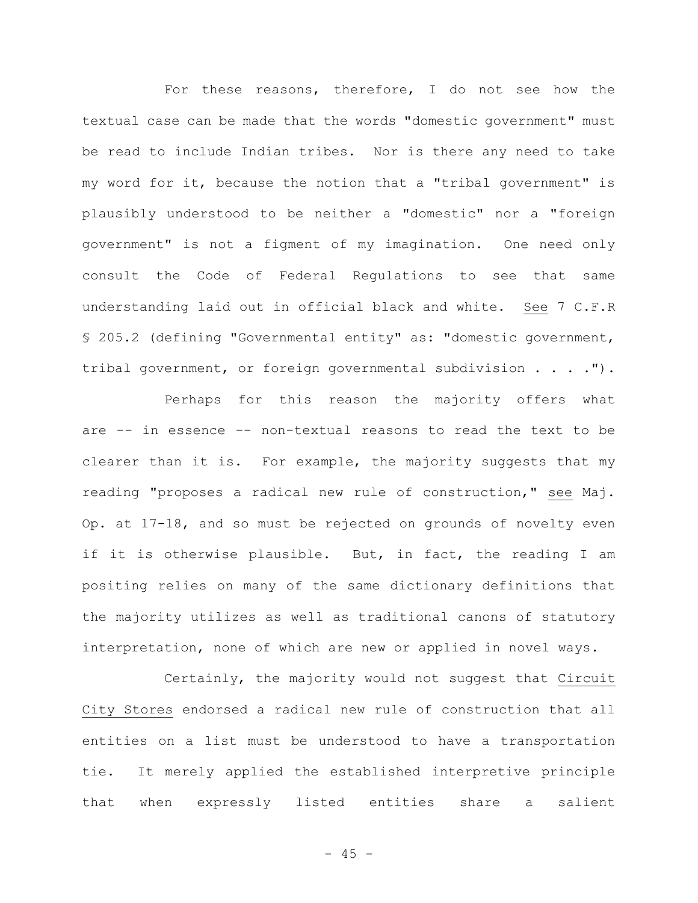For these reasons, therefore, I do not see how the textual case can be made that the words "domestic government" must be read to include Indian tribes. Nor is there any need to take my word for it, because the notion that a "tribal government" is plausibly understood to be neither a "domestic" nor a "foreign government" is not a figment of my imagination. One need only consult the Code of Federal Regulations to see that same understanding laid out in official black and white. See 7 C.F.R § 205.2 (defining "Governmental entity" as: "domestic government, tribal government, or foreign governmental subdivision . . . .").

Perhaps for this reason the majority offers what are -- in essence -- non-textual reasons to read the text to be clearer than it is. For example, the majority suggests that my reading "proposes a radical new rule of construction," see Maj. Op. at 17-18, and so must be rejected on grounds of novelty even if it is otherwise plausible. But, in fact, the reading I am positing relies on many of the same dictionary definitions that the majority utilizes as well as traditional canons of statutory interpretation, none of which are new or applied in novel ways.

Certainly, the majority would not suggest that Circuit City Stores endorsed a radical new rule of construction that all entities on a list must be understood to have a transportation tie. It merely applied the established interpretive principle that when expressly listed entities share a salient

- 45 -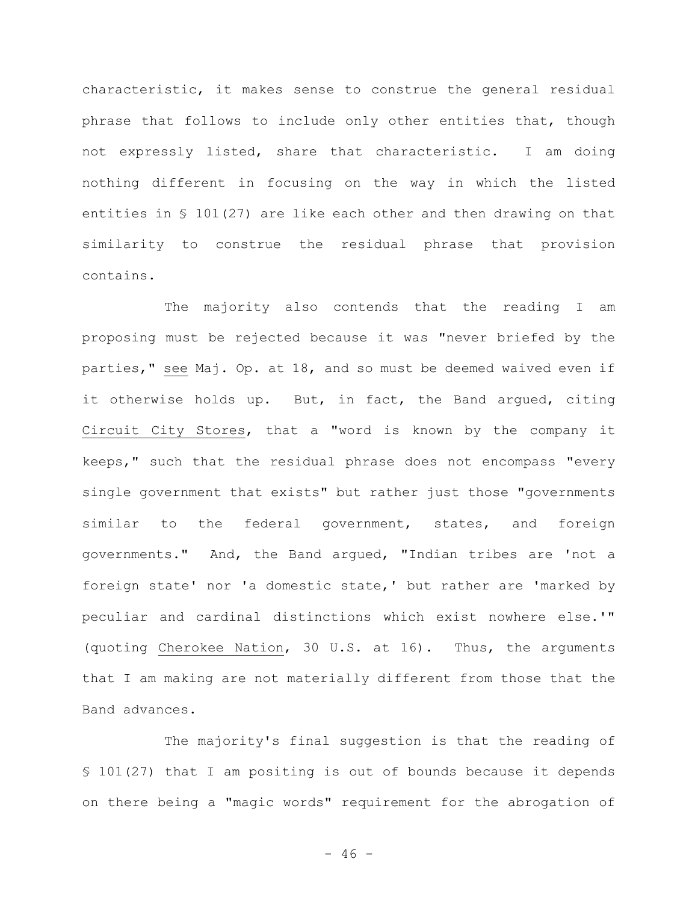characteristic, it makes sense to construe the general residual phrase that follows to include only other entities that, though not expressly listed, share that characteristic. I am doing nothing different in focusing on the way in which the listed entities in § 101(27) are like each other and then drawing on that similarity to construe the residual phrase that provision contains.

The majority also contends that the reading I am proposing must be rejected because it was "never briefed by the parties," see Maj. Op. at 18, and so must be deemed waived even if it otherwise holds up. But, in fact, the Band argued, citing Circuit City Stores, that a "word is known by the company it keeps," such that the residual phrase does not encompass "every single government that exists" but rather just those "governments similar to the federal government, states, and foreign governments." And, the Band argued, "Indian tribes are 'not a foreign state' nor 'a domestic state,' but rather are 'marked by peculiar and cardinal distinctions which exist nowhere else.'" (quoting Cherokee Nation, 30 U.S. at 16). Thus, the arguments that I am making are not materially different from those that the Band advances.

The majority's final suggestion is that the reading of § 101(27) that I am positing is out of bounds because it depends on there being a "magic words" requirement for the abrogation of

 $- 46 -$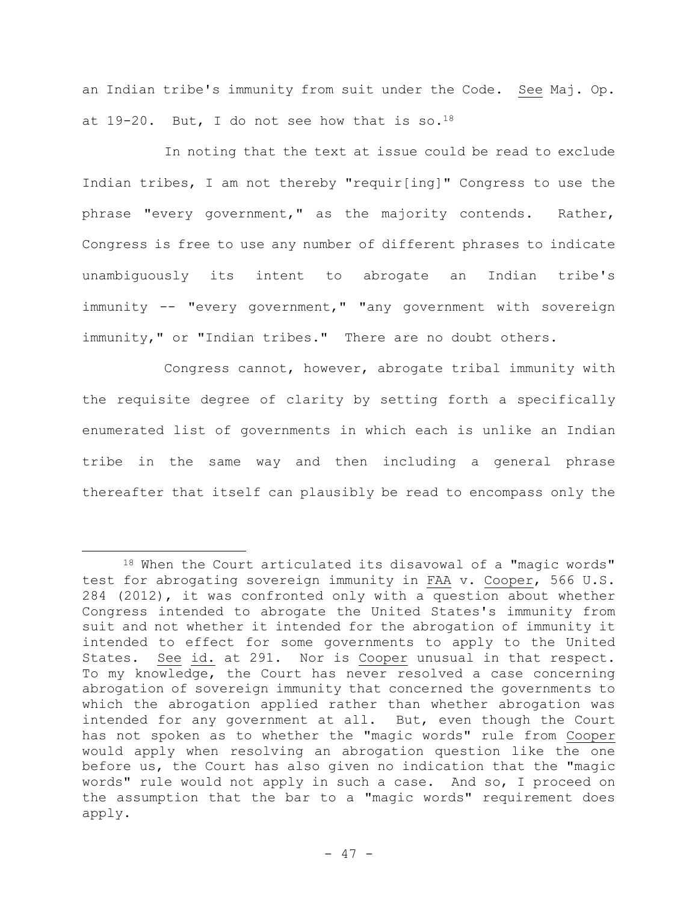an Indian tribe's immunity from suit under the Code. See Maj. Op. at  $19-20$ . But, I do not see how that is so.<sup>18</sup>

In noting that the text at issue could be read to exclude Indian tribes, I am not thereby "requir[ing]" Congress to use the phrase "every government," as the majority contends. Rather, Congress is free to use any number of different phrases to indicate unambiguously its intent to abrogate an Indian tribe's immunity -- "every government," "any government with sovereign immunity," or "Indian tribes." There are no doubt others.

Congress cannot, however, abrogate tribal immunity with the requisite degree of clarity by setting forth a specifically enumerated list of governments in which each is unlike an Indian tribe in the same way and then including a general phrase thereafter that itself can plausibly be read to encompass only the

<sup>18</sup> When the Court articulated its disavowal of a "magic words" test for abrogating sovereign immunity in FAA v. Cooper, 566 U.S. 284 (2012), it was confronted only with a question about whether Congress intended to abrogate the United States's immunity from suit and not whether it intended for the abrogation of immunity it intended to effect for some governments to apply to the United States. See id. at 291. Nor is Cooper unusual in that respect. To my knowledge, the Court has never resolved a case concerning abrogation of sovereign immunity that concerned the governments to which the abrogation applied rather than whether abrogation was intended for any government at all. But, even though the Court has not spoken as to whether the "magic words" rule from Cooper would apply when resolving an abrogation question like the one before us, the Court has also given no indication that the "magic words" rule would not apply in such a case. And so, I proceed on the assumption that the bar to a "magic words" requirement does apply.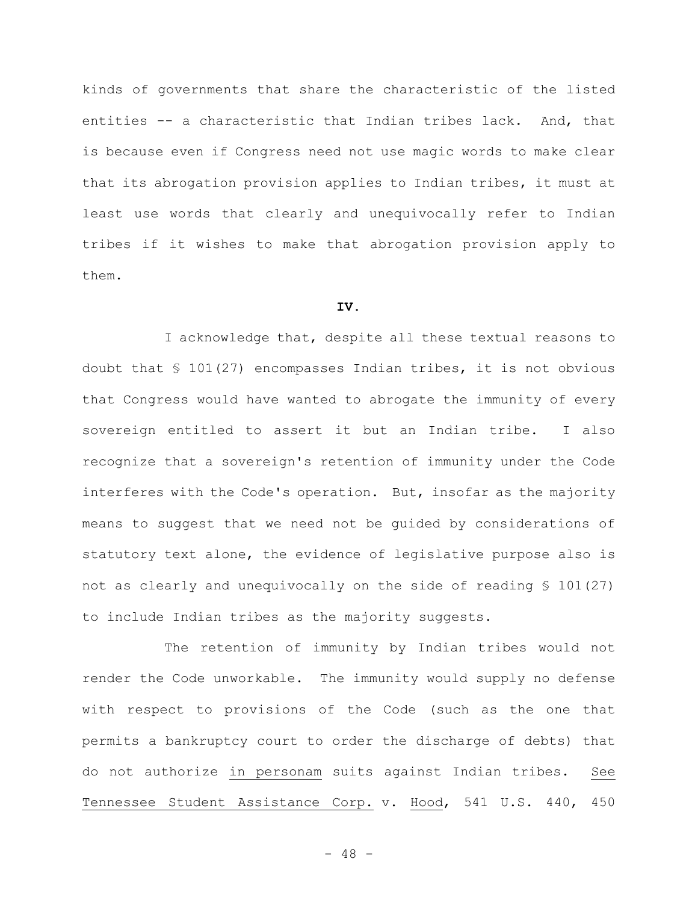kinds of governments that share the characteristic of the listed entities -- a characteristic that Indian tribes lack. And, that is because even if Congress need not use magic words to make clear that its abrogation provision applies to Indian tribes, it must at least use words that clearly and unequivocally refer to Indian tribes if it wishes to make that abrogation provision apply to them.

#### **IV.**

I acknowledge that, despite all these textual reasons to doubt that § 101(27) encompasses Indian tribes, it is not obvious that Congress would have wanted to abrogate the immunity of every sovereign entitled to assert it but an Indian tribe. I also recognize that a sovereign's retention of immunity under the Code interferes with the Code's operation. But, insofar as the majority means to suggest that we need not be guided by considerations of statutory text alone, the evidence of legislative purpose also is not as clearly and unequivocally on the side of reading § 101(27) to include Indian tribes as the majority suggests.

The retention of immunity by Indian tribes would not render the Code unworkable. The immunity would supply no defense with respect to provisions of the Code (such as the one that permits a bankruptcy court to order the discharge of debts) that do not authorize in personam suits against Indian tribes. See Tennessee Student Assistance Corp. v. Hood, 541 U.S. 440, 450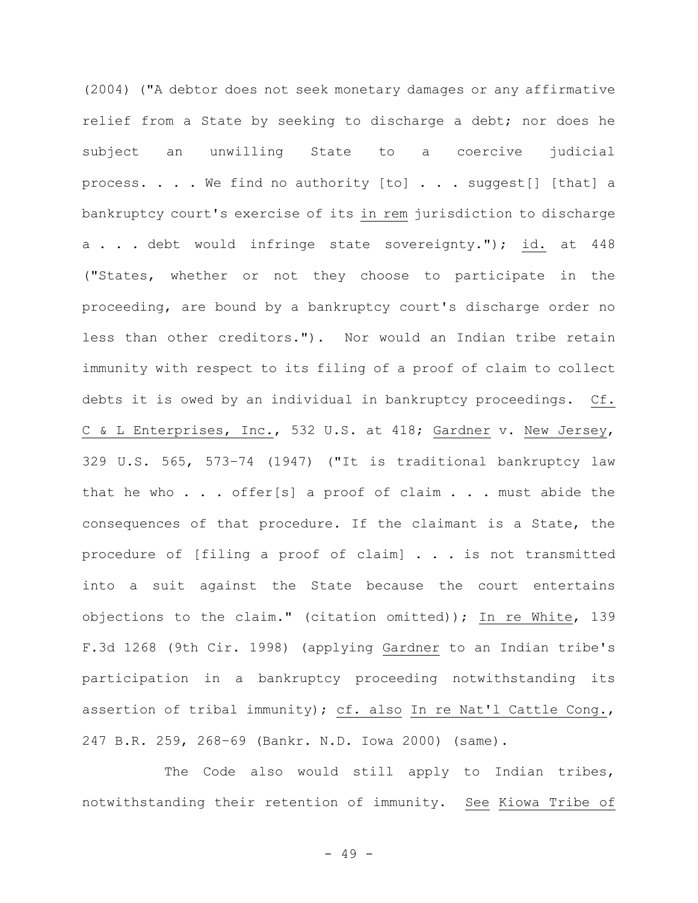(2004) ("A debtor does not seek monetary damages or any affirmative relief from a State by seeking to discharge a debt; nor does he subject an unwilling State to a coercive judicial process. . . . We find no authority [to] . . . suggest[] [that] a bankruptcy court's exercise of its in rem jurisdiction to discharge a . . . debt would infringe state sovereignty."); id. at 448 ("States, whether or not they choose to participate in the proceeding, are bound by a bankruptcy court's discharge order no less than other creditors."). Nor would an Indian tribe retain immunity with respect to its filing of a proof of claim to collect debts it is owed by an individual in bankruptcy proceedings. Cf. C & L Enterprises, Inc., 532 U.S. at 418; Gardner v. New Jersey, 329 U.S. 565, 573–74 (1947) ("It is traditional bankruptcy law that he who . . . offer[s] a proof of claim . . . must abide the consequences of that procedure. If the claimant is a State, the procedure of [filing a proof of claim] . . . is not transmitted into a suit against the State because the court entertains objections to the claim." (citation omitted)); In re White, 139 F.3d 1268 (9th Cir. 1998) (applying Gardner to an Indian tribe's participation in a bankruptcy proceeding notwithstanding its assertion of tribal immunity); cf. also In re Nat'l Cattle Cong., 247 B.R. 259, 268–69 (Bankr. N.D. Iowa 2000) (same).

The Code also would still apply to Indian tribes, notwithstanding their retention of immunity. See Kiowa Tribe of

- 49 -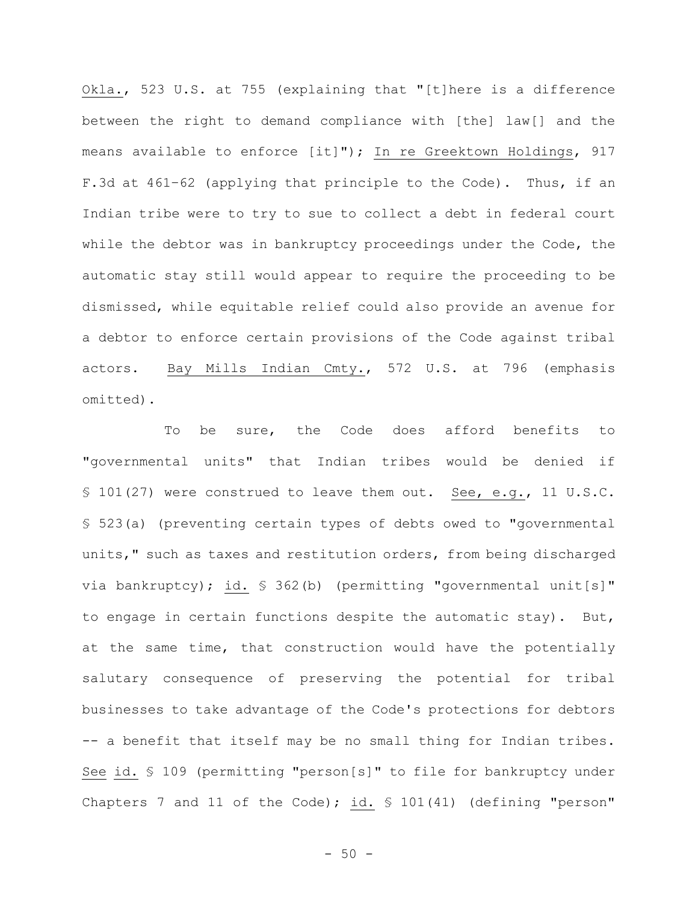Okla., 523 U.S. at 755 (explaining that "[t]here is a difference between the right to demand compliance with [the] law[] and the means available to enforce [it]"); In re Greektown Holdings, 917 F.3d at 461–62 (applying that principle to the Code). Thus, if an Indian tribe were to try to sue to collect a debt in federal court while the debtor was in bankruptcy proceedings under the Code, the automatic stay still would appear to require the proceeding to be dismissed, while equitable relief could also provide an avenue for a debtor to enforce certain provisions of the Code against tribal actors. Bay Mills Indian Cmty., 572 U.S. at 796 (emphasis omitted).

To be sure, the Code does afford benefits to "governmental units" that Indian tribes would be denied if § 101(27) were construed to leave them out. See, e.g., 11 U.S.C. § 523(a) (preventing certain types of debts owed to "governmental units," such as taxes and restitution orders, from being discharged via bankruptcy); id. § 362(b) (permitting "governmental unit[s]" to engage in certain functions despite the automatic stay). But, at the same time, that construction would have the potentially salutary consequence of preserving the potential for tribal businesses to take advantage of the Code's protections for debtors -- a benefit that itself may be no small thing for Indian tribes. See id. § 109 (permitting "person[s]" to file for bankruptcy under Chapters 7 and 11 of the Code); id. § 101(41) (defining "person"

 $-50 -$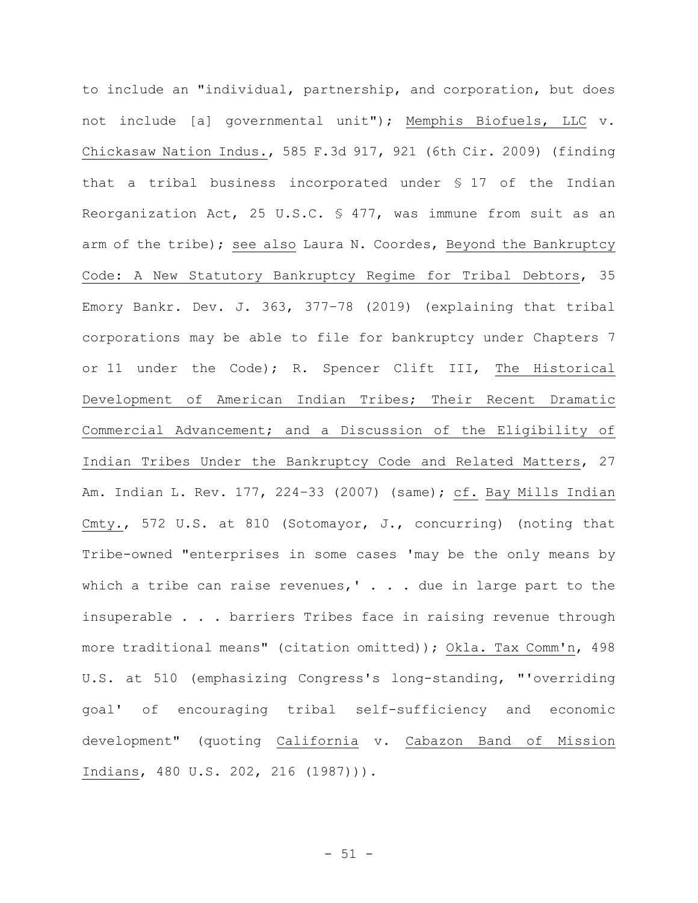to include an "individual, partnership, and corporation, but does not include [a] governmental unit"); Memphis Biofuels, LLC v. Chickasaw Nation Indus., 585 F.3d 917, 921 (6th Cir. 2009) (finding that a tribal business incorporated under § 17 of the Indian Reorganization Act, 25 U.S.C. § 477, was immune from suit as an arm of the tribe); see also Laura N. Coordes, Beyond the Bankruptcy Code: A New Statutory Bankruptcy Regime for Tribal Debtors, 35 Emory Bankr. Dev. J. 363, 377–78 (2019) (explaining that tribal corporations may be able to file for bankruptcy under Chapters 7 or 11 under the Code); R. Spencer Clift III, The Historical Development of American Indian Tribes; Their Recent Dramatic Commercial Advancement; and a Discussion of the Eligibility of Indian Tribes Under the Bankruptcy Code and Related Matters, 27 Am. Indian L. Rev. 177, 224-33 (2007) (same); cf. Bay Mills Indian Cmty., 572 U.S. at 810 (Sotomayor, J., concurring) (noting that Tribe-owned "enterprises in some cases 'may be the only means by which a tribe can raise revenues,'  $\ldots$  due in large part to the insuperable . . . barriers Tribes face in raising revenue through more traditional means" (citation omitted)); Okla. Tax Comm'n, 498 U.S. at 510 (emphasizing Congress's long-standing, "'overriding goal' of encouraging tribal self-sufficiency and economic development" (quoting California v. Cabazon Band of Mission Indians, 480 U.S. 202, 216 (1987))).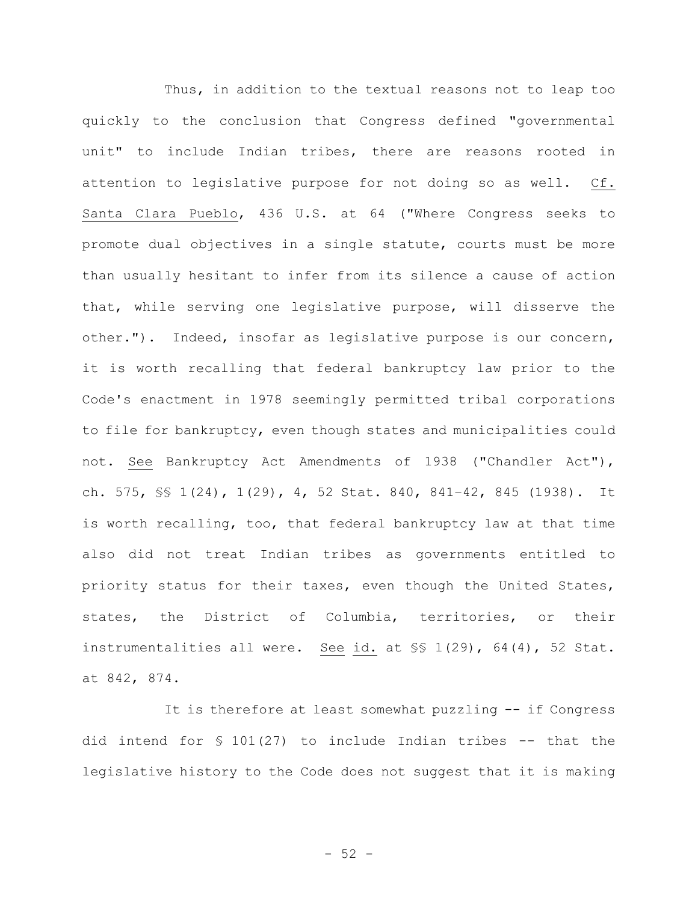Thus, in addition to the textual reasons not to leap too quickly to the conclusion that Congress defined "governmental unit" to include Indian tribes, there are reasons rooted in attention to legislative purpose for not doing so as well. Cf. Santa Clara Pueblo, 436 U.S. at 64 ("Where Congress seeks to promote dual objectives in a single statute, courts must be more than usually hesitant to infer from its silence a cause of action that, while serving one legislative purpose, will disserve the other."). Indeed, insofar as legislative purpose is our concern, it is worth recalling that federal bankruptcy law prior to the Code's enactment in 1978 seemingly permitted tribal corporations to file for bankruptcy, even though states and municipalities could not. See Bankruptcy Act Amendments of 1938 ("Chandler Act"), ch. 575, §§ 1(24), 1(29), 4, 52 Stat. 840, 841–42, 845 (1938). It is worth recalling, too, that federal bankruptcy law at that time also did not treat Indian tribes as governments entitled to priority status for their taxes, even though the United States, states, the District of Columbia, territories, or their instrumentalities all were. See id. at §§ 1(29), 64(4), 52 Stat. at 842, 874.

It is therefore at least somewhat puzzling -- if Congress did intend for  $\frac{101(27)}{27}$  to include Indian tribes -- that the legislative history to the Code does not suggest that it is making

 $-52 -$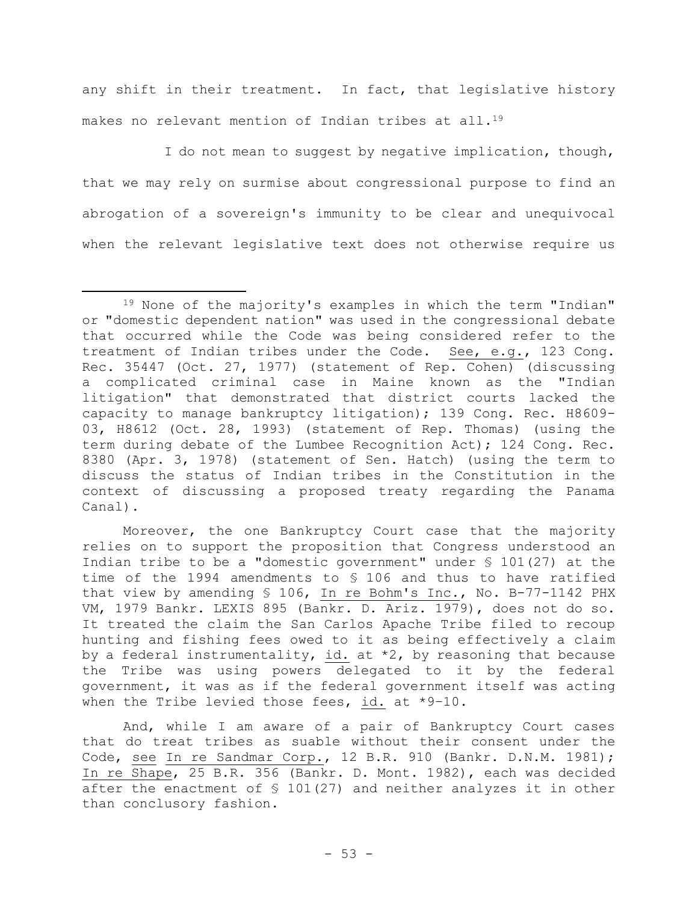any shift in their treatment. In fact, that legislative history makes no relevant mention of Indian tribes at all.<sup>19</sup>

I do not mean to suggest by negative implication, though, that we may rely on surmise about congressional purpose to find an abrogation of a sovereign's immunity to be clear and unequivocal when the relevant legislative text does not otherwise require us

Moreover, the one Bankruptcy Court case that the majority relies on to support the proposition that Congress understood an Indian tribe to be a "domestic government" under § 101(27) at the time of the 1994 amendments to § 106 and thus to have ratified that view by amending § 106, In re Bohm's Inc., No. B-77-1142 PHX VM, 1979 Bankr. LEXIS 895 (Bankr. D. Ariz. 1979), does not do so. It treated the claim the San Carlos Apache Tribe filed to recoup hunting and fishing fees owed to it as being effectively a claim by a federal instrumentality, id. at  $*2$ , by reasoning that because the Tribe was using powers delegated to it by the federal government, it was as if the federal government itself was acting when the Tribe levied those fees, id. at \*9–10.

And, while I am aware of a pair of Bankruptcy Court cases that do treat tribes as suable without their consent under the Code, see In re Sandmar Corp., 12 B.R. 910 (Bankr. D.N.M. 1981); In re Shape, 25 B.R. 356 (Bankr. D. Mont. 1982), each was decided after the enactment of § 101(27) and neither analyzes it in other than conclusory fashion.

<sup>19</sup> None of the majority's examples in which the term "Indian" or "domestic dependent nation" was used in the congressional debate that occurred while the Code was being considered refer to the treatment of Indian tribes under the Code. See, e.g., 123 Cong. Rec. 35447 (Oct. 27, 1977) (statement of Rep. Cohen) (discussing a complicated criminal case in Maine known as the "Indian litigation" that demonstrated that district courts lacked the capacity to manage bankruptcy litigation); 139 Cong. Rec. H8609- 03, H8612 (Oct. 28, 1993) (statement of Rep. Thomas) (using the term during debate of the Lumbee Recognition Act); 124 Cong. Rec. 8380 (Apr. 3, 1978) (statement of Sen. Hatch) (using the term to discuss the status of Indian tribes in the Constitution in the context of discussing a proposed treaty regarding the Panama Canal).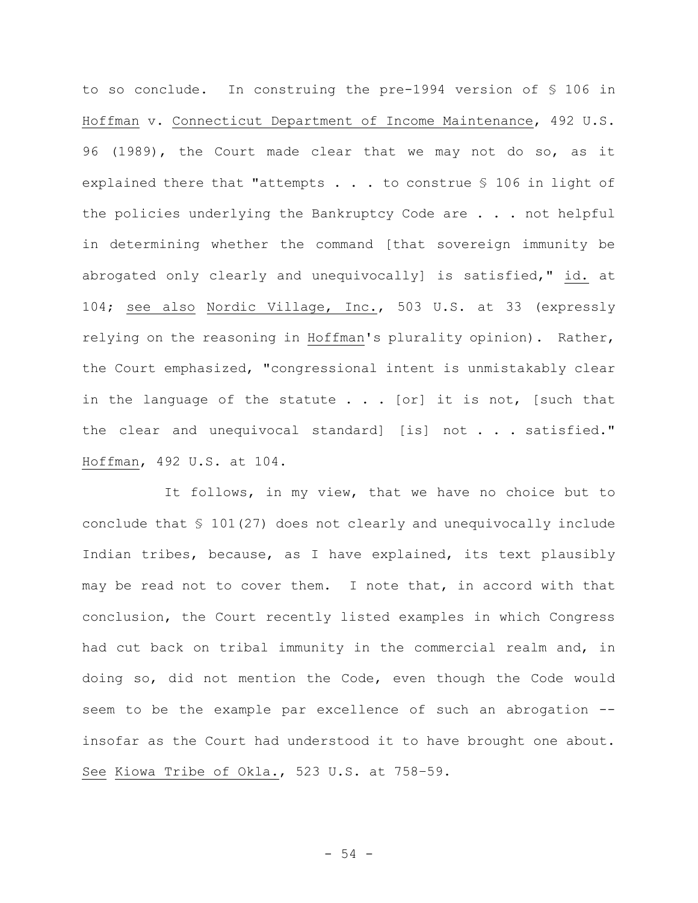to so conclude. In construing the pre-1994 version of § 106 in Hoffman v. Connecticut Department of Income Maintenance, 492 U.S. 96 (1989), the Court made clear that we may not do so, as it explained there that "attempts . . . to construe § 106 in light of the policies underlying the Bankruptcy Code are . . . not helpful in determining whether the command [that sovereign immunity be abrogated only clearly and unequivocally] is satisfied," id. at 104; see also Nordic Village, Inc., 503 U.S. at 33 (expressly relying on the reasoning in Hoffman's plurality opinion). Rather, the Court emphasized, "congressional intent is unmistakably clear in the language of the statute  $\ldots$  [or] it is not, [such that the clear and unequivocal standard] [is] not . . . satisfied." Hoffman, 492 U.S. at 104.

It follows, in my view, that we have no choice but to conclude that § 101(27) does not clearly and unequivocally include Indian tribes, because, as I have explained, its text plausibly may be read not to cover them. I note that, in accord with that conclusion, the Court recently listed examples in which Congress had cut back on tribal immunity in the commercial realm and, in doing so, did not mention the Code, even though the Code would seem to be the example par excellence of such an abrogation - insofar as the Court had understood it to have brought one about. See Kiowa Tribe of Okla., 523 U.S. at 758–59.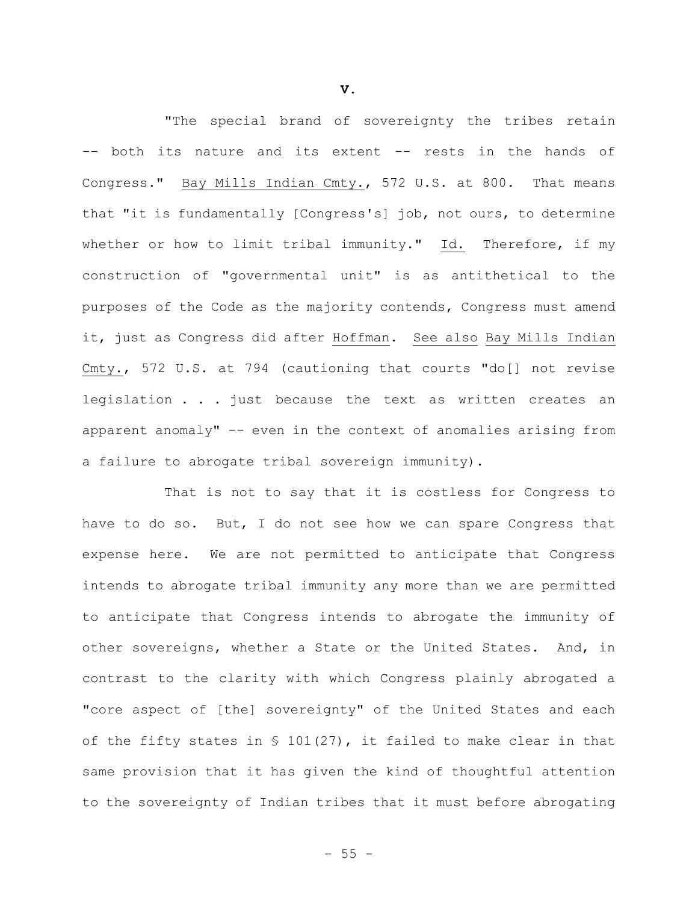"The special brand of sovereignty the tribes retain -- both its nature and its extent -- rests in the hands of Congress." Bay Mills Indian Cmty., 572 U.S. at 800. That means that "it is fundamentally [Congress's] job, not ours, to determine whether or how to limit tribal immunity." Id. Therefore, if my construction of "governmental unit" is as antithetical to the purposes of the Code as the majority contends, Congress must amend it, just as Congress did after Hoffman. See also Bay Mills Indian Cmty., 572 U.S. at 794 (cautioning that courts "do[] not revise legislation . . . just because the text as written creates an apparent anomaly" -- even in the context of anomalies arising from a failure to abrogate tribal sovereign immunity).

That is not to say that it is costless for Congress to have to do so. But, I do not see how we can spare Congress that expense here. We are not permitted to anticipate that Congress intends to abrogate tribal immunity any more than we are permitted to anticipate that Congress intends to abrogate the immunity of other sovereigns, whether a State or the United States. And, in contrast to the clarity with which Congress plainly abrogated a "core aspect of [the] sovereignty" of the United States and each of the fifty states in § 101(27), it failed to make clear in that same provision that it has given the kind of thoughtful attention to the sovereignty of Indian tribes that it must before abrogating

**V.**

 $- 55 -$